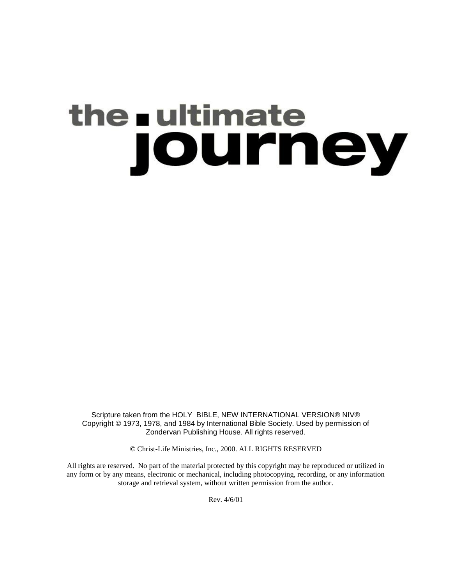# the **ultimate Journey**

Scripture taken from the HOLY BIBLE, NEW INTERNATIONAL VERSION® NIV® Copyright © 1973, 1978, and 1984 by International Bible Society. Used by permission of Zondervan Publishing House. All rights reserved.

© Christ-Life Ministries, Inc., 2000. ALL RIGHTS RESERVED

All rights are reserved. No part of the material protected by this copyright may be reproduced or utilized in any form or by any means, electronic or mechanical, including photocopying, recording, or any information storage and retrieval system, without written permission from the author.

Rev. 4/6/01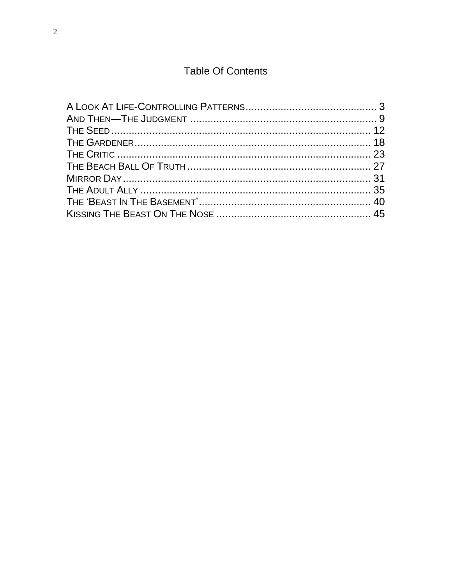## **Table Of Contents**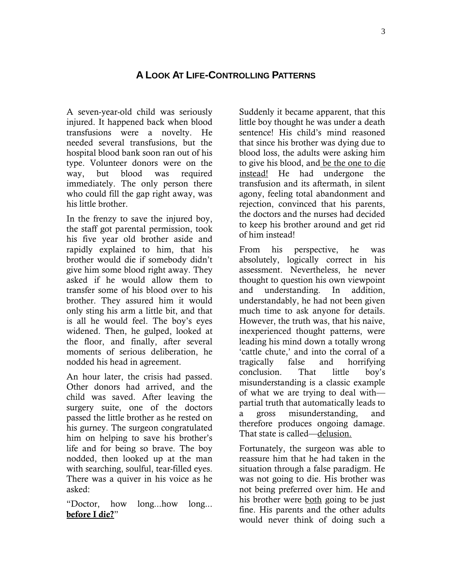## **A LOOK AT LIFE-CONTROLLING PATTERNS**

A seven-year-old child was seriously injured. It happened back when blood transfusions were a novelty. He needed several transfusions, but the hospital blood bank soon ran out of his type. Volunteer donors were on the way, but blood was required immediately. The only person there who could fill the gap right away, was his little brother.

In the frenzy to save the injured boy, the staff got parental permission, took his five year old brother aside and rapidly explained to him, that his brother would die if somebody didn't give him some blood right away. They asked if he would allow them to transfer some of his blood over to his brother. They assured him it would only sting his arm a little bit, and that is all he would feel. The boy's eyes widened. Then, he gulped, looked at the floor, and finally, after several moments of serious deliberation, he nodded his head in agreement.

An hour later, the crisis had passed. Other donors had arrived, and the child was saved. After leaving the surgery suite, one of the doctors passed the little brother as he rested on his gurney. The surgeon congratulated him on helping to save his brother's life and for being so brave. The boy nodded, then looked up at the man with searching, soulful, tear-filled eyes. There was a quiver in his voice as he asked:

―Doctor, how long...how long... before I die?"

Suddenly it became apparent, that this little boy thought he was under a death sentence! His child's mind reasoned that since his brother was dying due to blood loss, the adults were asking him to give his blood, and be the one to die instead! He had undergone the transfusion and its aftermath, in silent agony, feeling total abandonment and rejection, convinced that his parents, the doctors and the nurses had decided to keep his brother around and get rid of him instead!

From his perspective, he was absolutely, logically correct in his assessment. Nevertheless, he never thought to question his own viewpoint and understanding. In addition, understandably, he had not been given much time to ask anyone for details. However, the truth was, that his naive, inexperienced thought patterns, were leading his mind down a totally wrong ‗cattle chute,' and into the corral of a tragically false and horrifying conclusion. That little boy's misunderstanding is a classic example of what we are trying to deal with partial truth that automatically leads to a gross misunderstanding, and therefore produces ongoing damage. That state is called—delusion.

Fortunately, the surgeon was able to reassure him that he had taken in the situation through a false paradigm. He was not going to die. His brother was not being preferred over him. He and his brother were both going to be just fine. His parents and the other adults would never think of doing such a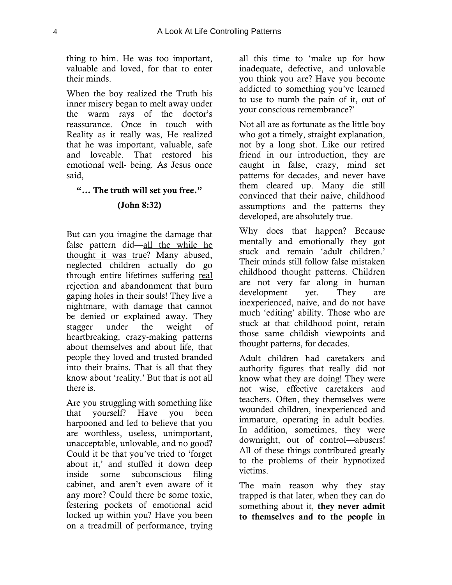thing to him. He was too important, valuable and loved, for that to enter their minds.

When the boy realized the Truth his inner misery began to melt away under the warm rays of the doctor's reassurance. Once in touch with Reality as it really was, He realized that he was important, valuable, safe and loveable. That restored his emotional well- being. As Jesus once said,

#### **"... The truth will set you free."**

#### **(John 8:32)**

But can you imagine the damage that false pattern did—all the while he thought it was true? Many abused, neglected children actually do go through entire lifetimes suffering real rejection and abandonment that burn gaping holes in their souls! They live a nightmare, with damage that cannot be denied or explained away. They stagger under the weight of heartbreaking, crazy-making patterns about themselves and about life, that people they loved and trusted branded into their brains. That is all that they know about 'reality.' But that is not all there is.

Are you struggling with something like that yourself? Have you been harpooned and led to believe that you are worthless, useless, unimportant, unacceptable, unlovable, and no good? Could it be that you've tried to 'forget about it,' and stuffed it down deep inside some subconscious filing cabinet, and aren't even aware of it any more? Could there be some toxic, festering pockets of emotional acid locked up within you? Have you been on a treadmill of performance, trying

all this time to 'make up for how inadequate, defective, and unlovable you think you are? Have you become addicted to something you've learned to use to numb the pain of it, out of your conscious remembrance?'

Not all are as fortunate as the little boy who got a timely, straight explanation, not by a long shot. Like our retired friend in our introduction, they are caught in false, crazy, mind set patterns for decades, and never have them cleared up. Many die still convinced that their naive, childhood assumptions and the patterns they developed, are absolutely true.

Why does that happen? Because mentally and emotionally they got stuck and remain 'adult children.' Their minds still follow false mistaken childhood thought patterns. Children are not very far along in human development yet. They are inexperienced, naive, and do not have much 'editing' ability. Those who are stuck at that childhood point, retain those same childish viewpoints and thought patterns, for decades.

Adult children had caretakers and authority figures that really did not know what they are doing! They were not wise, effective caretakers and teachers. Often, they themselves were wounded children, inexperienced and immature, operating in adult bodies. In addition, sometimes, they were downright, out of control—abusers! All of these things contributed greatly to the problems of their hypnotized victims.

The main reason why they stay trapped is that later, when they can do something about it, **they never admit to themselves and to the people in**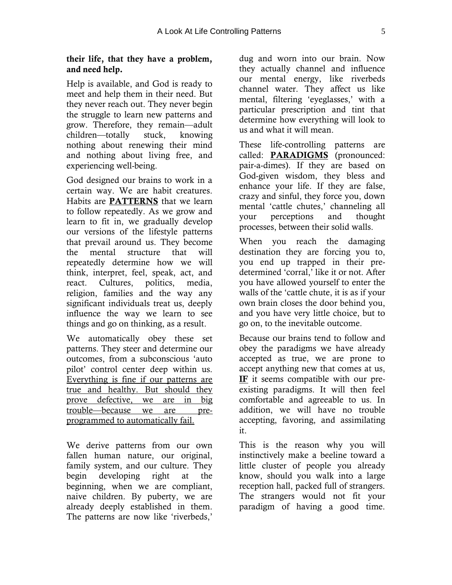#### **their life, that they have a problem, and need help.**

Help is available, and God is ready to meet and help them in their need. But they never reach out. They never begin the struggle to learn new patterns and grow. Therefore, they remain—adult children—totally stuck, knowing nothing about renewing their mind and nothing about living free, and experiencing well-being.

God designed our brains to work in a certain way. We are habit creatures. Habits are **PATTERNS** that we learn to follow repeatedly. As we grow and learn to fit in, we gradually develop our versions of the lifestyle patterns that prevail around us. They become the mental structure that will repeatedly determine how we will think, interpret, feel, speak, act, and react. Cultures, politics, media, religion, families and the way any significant individuals treat us, deeply influence the way we learn to see things and go on thinking, as a result.

We automatically obey these set patterns. They steer and determine our outcomes, from a subconscious ‗auto pilot' control center deep within us. Everything is fine if our patterns are true and healthy. But should they prove defective, we are in big trouble—because we are preprogrammed to automatically fail.

We derive patterns from our own fallen human nature, our original, family system, and our culture. They begin developing right at the beginning, when we are compliant, naive children. By puberty, we are already deeply established in them. The patterns are now like 'riverbeds,'

dug and worn into our brain. Now they actually channel and influence our mental energy, like riverbeds channel water. They affect us like mental, filtering 'eyeglasses,' with a particular prescription and tint that determine how everything will look to us and what it will mean.

These life-controlling patterns are called: **PARADIGMS** (pronounced: pair-a-dimes). If they are based on God-given wisdom, they bless and enhance your life. If they are false, crazy and sinful, they force you, down mental 'cattle chutes,' channeling all your perceptions and thought processes, between their solid walls.

When you reach the damaging destination they are forcing you to, you end up trapped in their predetermined 'corral,' like it or not. After you have allowed yourself to enter the walls of the 'cattle chute, it is as if your own brain closes the door behind you, and you have very little choice, but to go on, to the inevitable outcome.

Because our brains tend to follow and obey the paradigms we have already accepted as true, we are prone to accept anything new that comes at us, **IF** it seems compatible with our preexisting paradigms. It will then feel comfortable and agreeable to us. In addition, we will have no trouble accepting, favoring, and assimilating it.

This is the reason why you will instinctively make a beeline toward a little cluster of people you already know, should you walk into a large reception hall, packed full of strangers. The strangers would not fit your paradigm of having a good time.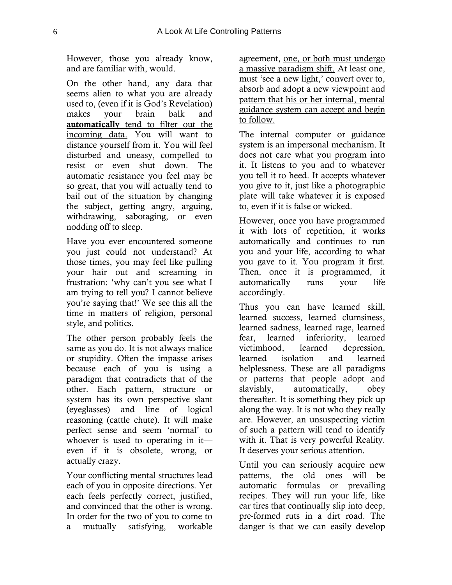However, those you already know, and are familiar with, would.

On the other hand, any data that seems alien to what you are already used to, (even if it is God's Revelation) makes your brain balk and **automatically** tend to filter out the incoming data. You will want to distance yourself from it. You will feel disturbed and uneasy, compelled to resist or even shut down. The automatic resistance you feel may be so great, that you will actually tend to bail out of the situation by changing the subject, getting angry, arguing, withdrawing, sabotaging, or even nodding off to sleep.

Have you ever encountered someone you just could not understand? At those times, you may feel like pulling your hair out and screaming in frustration: 'why can't you see what I am trying to tell you? I cannot believe you're saying that!' We see this all the time in matters of religion, personal style, and politics.

The other person probably feels the same as you do. It is not always malice or stupidity. Often the impasse arises because each of you is using a paradigm that contradicts that of the other. Each pattern, structure or system has its own perspective slant (eyeglasses) and line of logical reasoning (cattle chute). It will make perfect sense and seem 'normal' to whoever is used to operating in it even if it is obsolete, wrong, or actually crazy.

Your conflicting mental structures lead each of you in opposite directions. Yet each feels perfectly correct, justified, and convinced that the other is wrong. In order for the two of you to come to a mutually satisfying, workable

agreement, one, or both must undergo a massive paradigm shift. At least one, must 'see a new light,' convert over to, absorb and adopt a new viewpoint and pattern that his or her internal, mental guidance system can accept and begin to follow.

The internal computer or guidance system is an impersonal mechanism. It does not care what you program into it. It listens to you and to whatever you tell it to heed. It accepts whatever you give to it, just like a photographic plate will take whatever it is exposed to, even if it is false or wicked.

However, once you have programmed it with lots of repetition, it works automatically and continues to run you and your life, according to what you gave to it. You program it first. Then, once it is programmed, it automatically runs your life accordingly.

Thus you can have learned skill, learned success, learned clumsiness, learned sadness, learned rage, learned fear, learned inferiority, learned victimhood, learned depression, learned isolation and learned helplessness. These are all paradigms or patterns that people adopt and slavishly, automatically, obey thereafter. It is something they pick up along the way. It is not who they really are. However, an unsuspecting victim of such a pattern will tend to identify with it. That is very powerful Reality. It deserves your serious attention.

Until you can seriously acquire new patterns, the old ones will be automatic formulas or prevailing recipes. They will run your life, like car tires that continually slip into deep, pre-formed ruts in a dirt road. The danger is that we can easily develop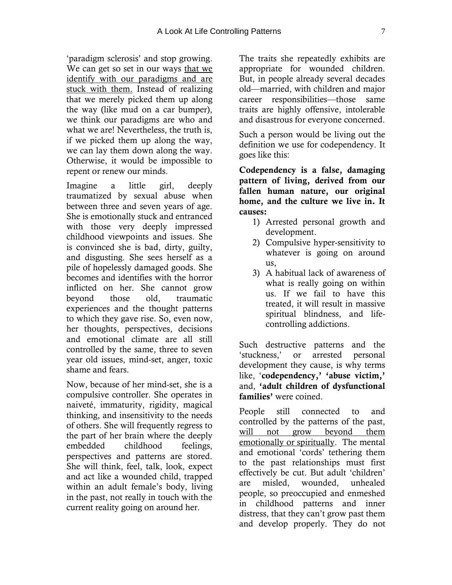‗paradigm sclerosis' and stop growing. We can get so set in our ways that we identify with our paradigms and are stuck with them. Instead of realizing that we merely picked them up along the way (like mud on a car bumper), we think our paradigms are who and what we are! Nevertheless, the truth is, if we picked them up along the way, we can lay them down along the way. Otherwise, it would be impossible to repent or renew our minds.

Imagine a little girl, deeply traumatized by sexual abuse when between three and seven years of age. She is emotionally stuck and entranced with those very deeply impressed childhood viewpoints and issues. She is convinced she is bad, dirty, guilty, and disgusting. She sees herself as a pile of hopelessly damaged goods. She becomes and identifies with the horror inflicted on her. She cannot grow beyond those old, traumatic experiences and the thought patterns to which they gave rise. So, even now, her thoughts, perspectives, decisions and emotional climate are all still controlled by the same, three to seven year old issues, mind-set, anger, toxic shame and fears.

Now, because of her mind-set, she is a compulsive controller. She operates in naiveté, immaturity, rigidity, magical thinking, and insensitivity to the needs of others. She will frequently regress to the part of her brain where the deeply embedded childhood feelings, perspectives and patterns are stored. She will think, feel, talk, look, expect and act like a wounded child, trapped within an adult female's body, living in the past, not really in touch with the current reality going on around her.

The traits she repeatedly exhibits are appropriate for wounded children. But, in people already several decades old—married, with children and major career responsibilities—those same traits are highly offensive, intolerable and disastrous for everyone concerned.

Such a person would be living out the definition we use for codependency. It goes like this:

**Codependency is a false, damaging pattern of living, derived from our fallen human nature, our original home, and the culture we live in. It causes:** 

- 1) Arrested personal growth and development.
- 2) Compulsive hyper-sensitivity to whatever is going on around us,
- 3) A habitual lack of awareness of what is really going on within us. If we fail to have this treated, it will result in massive spiritual blindness, and lifecontrolling addictions.

Such destructive patterns and the ‗stuckness,' or arrested personal development they cause, is why terms like, 'codependency,' 'abuse victim,' and, **"adult children of dysfunctional families"** were coined.

People still connected to and controlled by the patterns of the past, will not grow beyond them emotionally or spiritually. The mental and emotional 'cords' tethering them to the past relationships must first effectively be cut. But adult 'children' are misled, wounded, unhealed people, so preoccupied and enmeshed in childhood patterns and inner distress, that they can't grow past them and develop properly. They do not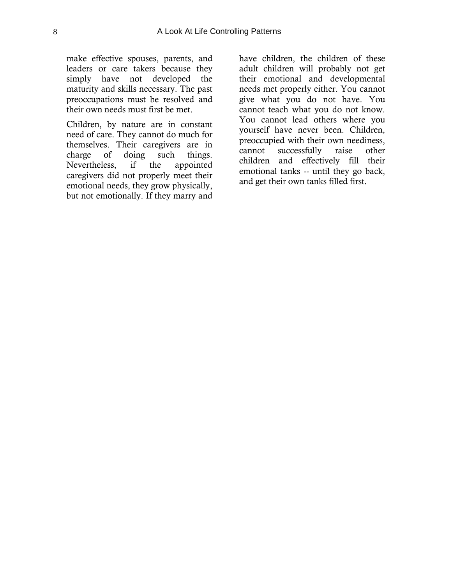make effective spouses, parents, and leaders or care takers because they simply have not developed the maturity and skills necessary. The past preoccupations must be resolved and their own needs must first be met.

Children, by nature are in constant need of care. They cannot do much for themselves. Their caregivers are in charge of doing such things. Nevertheless, if the appointed caregivers did not properly meet their emotional needs, they grow physically, but not emotionally. If they marry and have children, the children of these adult children will probably not get their emotional and developmental needs met properly either. You cannot give what you do not have. You cannot teach what you do not know. You cannot lead others where you yourself have never been. Children, preoccupied with their own neediness, cannot successfully raise other children and effectively fill their emotional tanks -- until they go back, and get their own tanks filled first.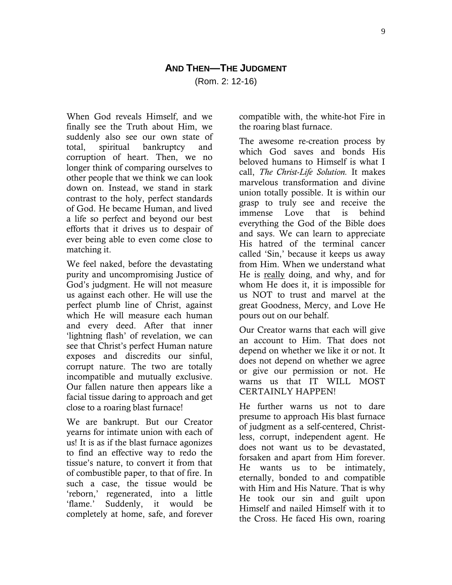(Rom. 2: 12-16)

When God reveals Himself, and we finally see the Truth about Him, we suddenly also see our own state of total, spiritual bankruptcy and corruption of heart. Then, we no longer think of comparing ourselves to other people that we think we can look down on. Instead, we stand in stark contrast to the holy, perfect standards of God. He became Human, and lived a life so perfect and beyond our best efforts that it drives us to despair of ever being able to even come close to matching it.

We feel naked, before the devastating purity and uncompromising Justice of God's judgment. He will not measure us against each other. He will use the perfect plumb line of Christ, against which He will measure each human and every deed. After that inner 'lightning flash' of revelation, we can see that Christ's perfect Human nature exposes and discredits our sinful, corrupt nature. The two are totally incompatible and mutually exclusive. Our fallen nature then appears like a facial tissue daring to approach and get close to a roaring blast furnace!

We are bankrupt. But our Creator yearns for intimate union with each of us! It is as if the blast furnace agonizes to find an effective way to redo the tissue's nature, to convert it from that of combustible paper, to that of fire. In such a case, the tissue would be ‗reborn,' regenerated, into a little 'flame.' Suddenly, it would be completely at home, safe, and forever

compatible with, the white-hot Fire in the roaring blast furnace.

The awesome re-creation process by which God saves and bonds His beloved humans to Himself is what I call, *The Christ-Life Solution.* It makes marvelous transformation and divine union totally possible. It is within our grasp to truly see and receive the immense Love that is behind everything the God of the Bible does and says. We can learn to appreciate His hatred of the terminal cancer called 'Sin,' because it keeps us away from Him. When we understand what He is really doing, and why, and for whom He does it, it is impossible for us NOT to trust and marvel at the great Goodness, Mercy, and Love He pours out on our behalf.

Our Creator warns that each will give an account to Him. That does not depend on whether we like it or not. It does not depend on whether we agree or give our permission or not. He warns us that IT WILL MOST CERTAINLY HAPPEN!

He further warns us not to dare presume to approach His blast furnace of judgment as a self-centered, Christless, corrupt, independent agent. He does not want us to be devastated, forsaken and apart from Him forever. He wants us to be intimately, eternally, bonded to and compatible with Him and His Nature. That is why He took our sin and guilt upon Himself and nailed Himself with it to the Cross. He faced His own, roaring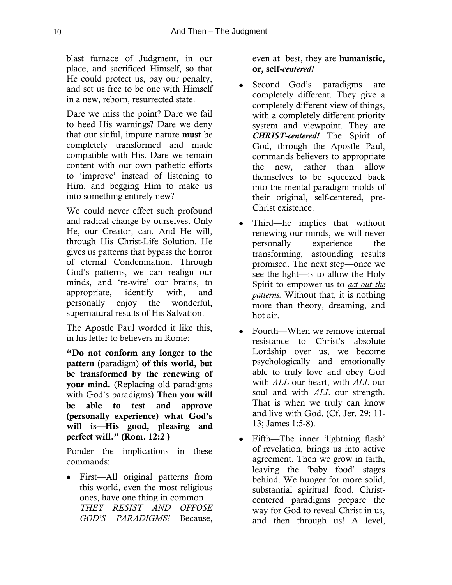blast furnace of Judgment, in our place, and sacrificed Himself, so that He could protect us, pay our penalty, and set us free to be one with Himself in a new, reborn, resurrected state.

Dare we miss the point? Dare we fail to heed His warnings? Dare we deny that our sinful, impure nature **must** be completely transformed and made compatible with His. Dare we remain content with our own pathetic efforts to 'improve' instead of listening to Him, and begging Him to make us into something entirely new?

We could never effect such profound and radical change by ourselves. Only He, our Creator, can. And He will, through His Christ-Life Solution. He gives us patterns that bypass the horror of eternal Condemnation. Through God's patterns, we can realign our minds, and 're-wire' our brains, to appropriate, identify with, and personally enjoy the wonderful, supernatural results of His Salvation.

The Apostle Paul worded it like this, in his letter to believers in Rome:

**"Do not conform any longer to the pattern** (paradigm) **of this world, but be transformed by the renewing of your mind.** (Replacing old paradigms with God's paradigms) **Then you will be able to test and approve (personally experience) what God"s will is—His good, pleasing and perfect will." (Rom. 12:2 )**

Ponder the implications in these commands:

First—All original patterns from this world, even the most religious ones, have one thing in common*— THEY RESIST AND OPPOSE GOD'S PARADIGMS!* Because,

even at best, they are **humanistic, or, self***-centered!*

- Second—God's paradigms are completely different. They give a completely different view of things, with a completely different priority system and viewpoint. They are *CHRIST-centered!* The Spirit of God, through the Apostle Paul, commands believers to appropriate the new, rather than allow themselves to be squeezed back into the mental paradigm molds of their original, self-centered, pre-Christ existence.
- $\bullet$ Third—he implies that without renewing our minds, we will never personally experience the transforming, astounding results promised. The next step—once we see the light—is to allow the Holy Spirit to empower us to *act out the patterns.* Without that, it is nothing more than theory, dreaming, and hot air.
- Fourth—When we remove internal  $\bullet$ resistance to Christ's absolute Lordship over us, we become psychologically and emotionally able to truly love and obey God with *ALL* our heart, with *ALL* our soul and with *ALL* our strength. That is when we truly can know and live with God. (Cf. Jer. 29: 11- 13; James 1:5-8).
- Fifth—The inner 'lightning flash'  $\bullet$ of revelation, brings us into active agreement. Then we grow in faith, leaving the 'baby food' stages behind. We hunger for more solid, substantial spiritual food. Christcentered paradigms prepare the way for God to reveal Christ in us, and then through us! A level,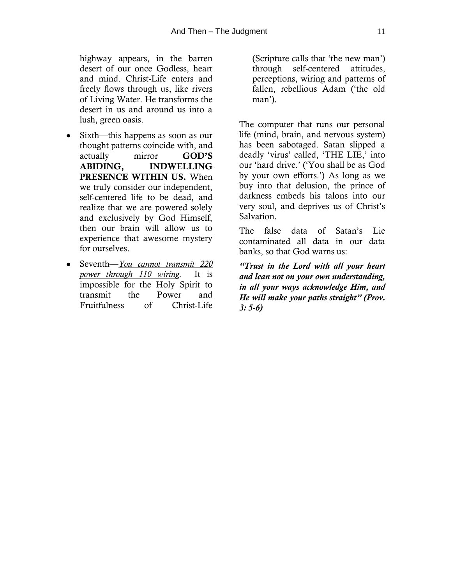highway appears, in the barren desert of our once Godless, heart and mind. Christ-Life enters and freely flows through us, like rivers of Living Water. He transforms the desert in us and around us into a lush, green oasis.

- Sixth—this happens as soon as our thought patterns coincide with, and actually mirror **GOD"S ABIDING, INDWELLING PRESENCE WITHIN US.** When we truly consider our independent, self-centered life to be dead, and realize that we are powered solely and exclusively by God Himself, then our brain will allow us to experience that awesome mystery for ourselves.
- Seventh—*You cannot transmit 220 power through 110 wiring.* It is impossible for the Holy Spirit to transmit the Power and Fruitfulness of Christ-Life

(Scripture calls that 'the new man') through self-centered attitudes, perceptions, wiring and patterns of fallen, rebellious Adam ('the old man').

The computer that runs our personal life (mind, brain, and nervous system) has been sabotaged. Satan slipped a deadly 'virus' called, 'THE LIE,' into our 'hard drive.' ('You shall be as God by your own efforts.') As long as we buy into that delusion, the prince of darkness embeds his talons into our very soul, and deprives us of Christ's Salvation.

The false data of Satan's Lie contaminated all data in our data banks, so that God warns us:

*"Trust in the Lord with all your heart and lean not on your own understanding, in all your ways acknowledge Him, and He will make your paths straight" (Prov. 3: 5-6)*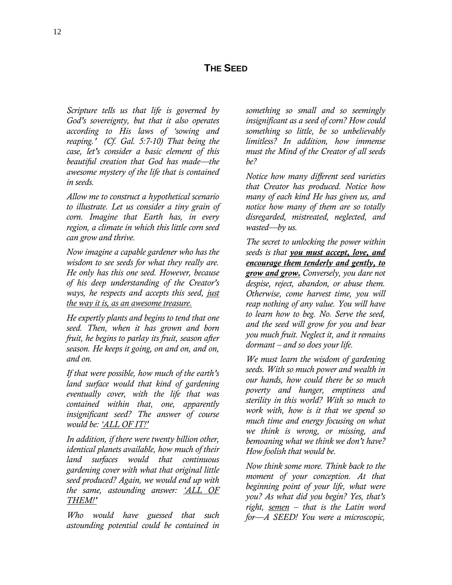## **THE SEED**

*Scripture tells us that life is governed by God's sovereignty, but that it also operates according to His laws of ‗sowing and reaping.' (Cf. Gal. 5:7-10) That being the case, let's consider a basic element of this beautiful creation that God has made—the awesome mystery of the life that is contained in seeds.*

*Allow me to construct a hypothetical scenario to illustrate. Let us consider a tiny grain of corn. Imagine that Earth has, in every region, a climate in which this little corn seed can grow and thrive.*

*Now imagine a capable gardener who has the wisdom to see seeds for what they really are. He only has this one seed. However, because of his deep understanding of the Creator's ways, he respects and accepts this seed, just the way it is, as an awesome treasure.*

*He expertly plants and begins to tend that one seed. Then, when it has grown and born fruit, he begins to parlay its fruit, season after season. He keeps it going, on and on, and on, and on.* 

*If that were possible, how much of the earth's land surface would that kind of gardening eventually cover, with the life that was contained within that, one, apparently insignificant seed? The answer of course would be: ‗ALL OF IT!'* 

*In addition, if there were twenty billion other, identical planets available, how much of their land surfaces would that continuous gardening cover with what that original little seed produced? Again, we would end up with the same, astounding answer: ‗ALL OF THEM!'*

*Who would have guessed that such astounding potential could be contained in*  *something so small and so seemingly insignificant as a seed of corn? How could something so little, be so unbelievably limitless? In addition, how immense must the Mind of the Creator of all seeds be?* 

*Notice how many different seed varieties that Creator has produced. Notice how many of each kind He has given us, and notice how many of them are so totally disregarded, mistreated, neglected, and wasted—by us.* 

*The secret to unlocking the power within seeds is that you must accept, love, and encourage them tenderly and gently, to grow and grow. Conversely, you dare not despise, reject, abandon, or abuse them. Otherwise, come harvest time, you will reap nothing of any value. You will have to learn how to beg. No. Serve the seed, and the seed will grow for you and bear you much fruit. Neglect it, and it remains dormant – and so does your life.* 

*We must learn the wisdom of gardening seeds. With so much power and wealth in our hands, how could there be so much poverty and hunger, emptiness and sterility in this world? With so much to work with, how is it that we spend so much time and energy focusing on what we think is wrong, or missing, and bemoaning what we think we don't have? How foolish that would be.* 

*Now think some more. Think back to the moment of your conception. At that beginning point of your life, what were you? As what did you begin? Yes, that's right, semen – that is the Latin word for—A SEED! You were a microscopic,*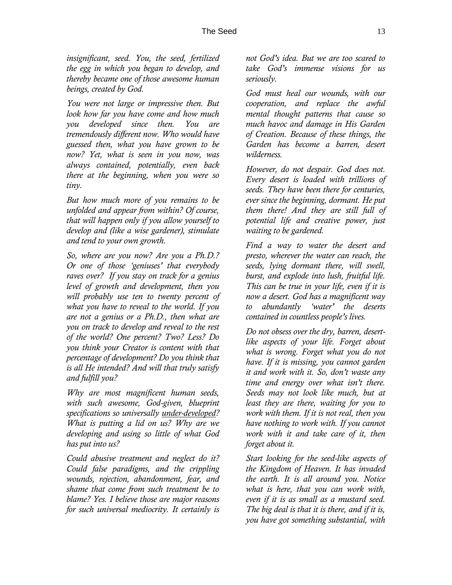*insignificant, seed. You, the seed, fertilized the egg in which you began to develop, and thereby became one of those awesome human beings, created by God.*

*You were not large or impressive then. But look how far you have come and how much you developed since then. You are tremendously different now. Who would have guessed then, what you have grown to be now? Yet, what is seen in you now, was always contained, potentially, even back there at the beginning, when you were so tiny.* 

*But how much more of you remains to be unfolded and appear from within? Of course, that will happen only if you allow yourself to develop and (like a wise gardener), stimulate and tend to your own growth.*

*So, where are you now? Are you a Ph.D.? Or one of those ‗geniuses' that everybody raves over? If you stay on track for a genius level of growth and development, then you will probably use ten to twenty percent of what you have to reveal to the world. If you are not a genius or a Ph.D., then what are you on track to develop and reveal to the rest of the world? One percent? Two? Less? Do you think your Creator is content with that percentage of development? Do you think that is all He intended? And will that truly satisfy and fulfill you?*

*Why are most magnificent human seeds, with such awesome, God-given, blueprint specifications so universally under-developed? What is putting a lid on us? Why are we developing and using so little of what God has put into us?* 

*Could abusive treatment and neglect do it? Could false paradigms, and the crippling wounds, rejection, abandonment, fear, and shame that come from such treatment be to blame? Yes. I believe those are major reasons for such universal mediocrity. It certainly is*  *not God's idea. But we are too scared to take God's immense visions for us seriously.* 

*God must heal our wounds, with our cooperation, and replace the awful mental thought patterns that cause so much havoc and damage in His Garden of Creation. Because of these things, the Garden has become a barren, desert wilderness.*

*However, do not despair. God does not. Every desert is loaded with trillions of seeds. They have been there for centuries, ever since the beginning, dormant. He put them there! And they are still full of potential life and creative power, just waiting to be gardened.*

*Find a way to water the desert and presto, wherever the water can reach, the seeds, lying dormant there, will swell, burst, and explode into lush, fruitful life. This can be true in your life, even if it is now a desert. God has a magnificent way to abundantly ‗water' the deserts contained in countless people's lives.*

*Do not obsess over the dry, barren, desertlike aspects of your life. Forget about what is wrong. Forget what you do not have. If it is missing, you cannot garden it and work with it. So, don't waste any time and energy over what isn't there. Seeds may not look like much, but at least they are there, waiting for you to work with them. If it is not real, then you have nothing to work with. If you cannot work with it and take care of it, then forget about it.* 

*Start looking for the seed-like aspects of the Kingdom of Heaven. It has invaded the earth. It is all around you. Notice what is here, that you can work with, even if it is as small as a mustard seed. The big deal is that it is there, and if it is, you have got something substantial, with*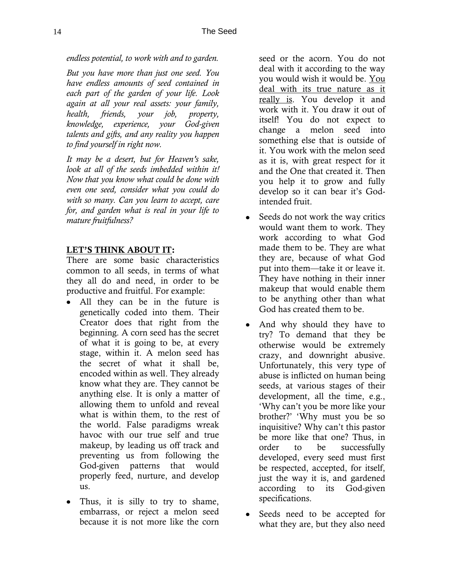*endless potential, to work with and to garden.* 

*But you have more than just one seed. You have endless amounts of seed contained in each part of the garden of your life. Look again at all your real assets: your family, health, friends, your job, property, knowledge, experience, your God-given talents and gifts, and any reality you happen to find yourself in right now.* 

*It may be a desert, but for Heaven's sake, look at all of the seeds imbedded within it! Now that you know what could be done with even one seed, consider what you could do with so many. Can you learn to accept, care for, and garden what is real in your life to mature fruitfulness?*

## **LET"S THINK ABOUT IT:**

There are some basic characteristics common to all seeds, in terms of what they all do and need, in order to be productive and fruitful. For example:

- All they can be in the future is genetically coded into them. Their Creator does that right from the beginning. A corn seed has the secret of what it is going to be, at every stage, within it. A melon seed has the secret of what it shall be, encoded within as well. They already know what they are. They cannot be anything else. It is only a matter of allowing them to unfold and reveal what is within them, to the rest of the world. False paradigms wreak havoc with our true self and true makeup, by leading us off track and preventing us from following the God-given patterns that would properly feed, nurture, and develop us.
- Thus, it is silly to try to shame, embarrass, or reject a melon seed because it is not more like the corn

seed or the acorn. You do not deal with it according to the way you would wish it would be. You deal with its true nature as it really is. You develop it and work with it. You draw it out of itself! You do not expect to change a melon seed into something else that is outside of it. You work with the melon seed as it is, with great respect for it and the One that created it. Then you help it to grow and fully develop so it can bear it's Godintended fruit.

- Seeds do not work the way critics would want them to work. They work according to what God made them to be. They are what they are, because of what God put into them—take it or leave it. They have nothing in their inner makeup that would enable them to be anything other than what God has created them to be.
- And why should they have to try? To demand that they be otherwise would be extremely crazy, and downright abusive. Unfortunately, this very type of abuse is inflicted on human being seeds, at various stages of their development, all the time, e.g., ‗Why can't you be more like your brother?' ‗Why must you be so inquisitive? Why can't this pastor be more like that one? Thus, in order to be successfully developed, every seed must first be respected, accepted, for itself, just the way it is, and gardened according to its God-given specifications.
- Seeds need to be accepted for what they are, but they also need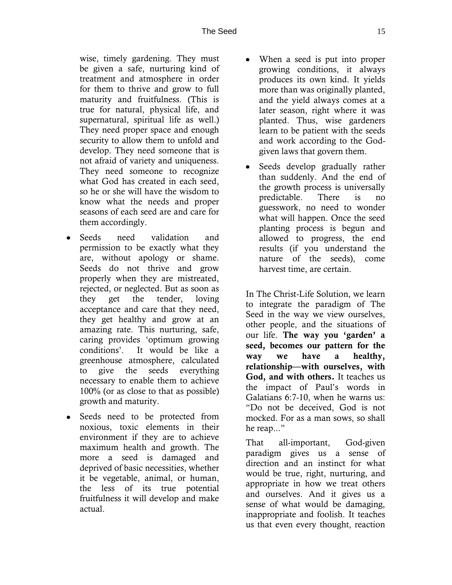wise, timely gardening. They must be given a safe, nurturing kind of treatment and atmosphere in order for them to thrive and grow to full maturity and fruitfulness. (This is true for natural, physical life, and supernatural, spiritual life as well.) They need proper space and enough security to allow them to unfold and develop. They need someone that is not afraid of variety and uniqueness. They need someone to recognize what God has created in each seed, so he or she will have the wisdom to know what the needs and proper seasons of each seed are and care for them accordingly.

- Seeds need validation and permission to be exactly what they are, without apology or shame. Seeds do not thrive and grow properly when they are mistreated, rejected, or neglected. But as soon as they get the tender, loving acceptance and care that they need, they get healthy and grow at an amazing rate. This nurturing, safe, caring provides 'optimum growing conditions'. It would be like a greenhouse atmosphere, calculated to give the seeds everything necessary to enable them to achieve 100% (or as close to that as possible) growth and maturity.
- Seeds need to be protected from  $\bullet$ noxious, toxic elements in their environment if they are to achieve maximum health and growth. The more a seed is damaged and deprived of basic necessities, whether it be vegetable, animal, or human, the less of its true potential fruitfulness it will develop and make actual.
- When a seed is put into proper growing conditions, it always produces its own kind. It yields more than was originally planted, and the yield always comes at a later season, right where it was planted. Thus, wise gardeners learn to be patient with the seeds and work according to the Godgiven laws that govern them.
- Seeds develop gradually rather than suddenly. And the end of the growth process is universally predictable. There is no guesswork, no need to wonder what will happen. Once the seed planting process is begun and allowed to progress, the end results (if you understand the nature of the seeds), come harvest time, are certain.

In The Christ-Life Solution, we learn to integrate the paradigm of The Seed in the way we view ourselves, other people, and the situations of our life. **The way you "garden" a seed, becomes our pattern for the way we have a healthy, relationship—with ourselves, with God, and with others.** It teaches us the impact of Paul's words in Galatians 6:7-10, when he warns us: ―Do not be deceived, God is not mocked. For as a man sows, so shall he reap..."

That all-important, God-given paradigm gives us a sense of direction and an instinct for what would be true, right, nurturing, and appropriate in how we treat others and ourselves. And it gives us a sense of what would be damaging, inappropriate and foolish. It teaches us that even every thought, reaction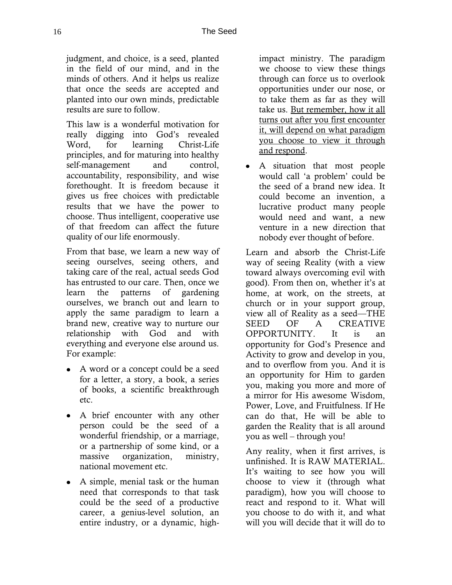judgment, and choice, is a seed, planted in the field of our mind, and in the minds of others. And it helps us realize that once the seeds are accepted and planted into our own minds, predictable results are sure to follow.

This law is a wonderful motivation for really digging into God's revealed Word, for learning Christ-Life principles, and for maturing into healthy self-management and control, accountability, responsibility, and wise forethought. It is freedom because it gives us free choices with predictable results that we have the power to choose. Thus intelligent, cooperative use of that freedom can affect the future quality of our life enormously.

From that base, we learn a new way of seeing ourselves, seeing others, and taking care of the real, actual seeds God has entrusted to our care. Then, once we learn the patterns of gardening ourselves, we branch out and learn to apply the same paradigm to learn a brand new, creative way to nurture our relationship with God and with everything and everyone else around us. For example:

- A word or a concept could be a seed for a letter, a story, a book, a series of books, a scientific breakthrough etc.
- A brief encounter with any other person could be the seed of a wonderful friendship, or a marriage, or a partnership of some kind, or a massive organization, ministry, national movement etc.
- A simple, menial task or the human need that corresponds to that task could be the seed of a productive career, a genius-level solution, an entire industry, or a dynamic, high-

impact ministry. The paradigm we choose to view these things through can force us to overlook opportunities under our nose, or to take them as far as they will take us. But remember, how it all turns out after you first encounter it, will depend on what paradigm you choose to view it through and respond.

A situation that most people would call ‗a problem' could be the seed of a brand new idea. It could become an invention, a lucrative product many people would need and want, a new venture in a new direction that nobody ever thought of before.

Learn and absorb the Christ-Life way of seeing Reality (with a view toward always overcoming evil with good). From then on, whether it's at home, at work, on the streets, at church or in your support group, view all of Reality as a seed—THE SEED OF A CREATIVE OPPORTUNITY. It is an opportunity for God's Presence and Activity to grow and develop in you, and to overflow from you. And it is an opportunity for Him to garden you, making you more and more of a mirror for His awesome Wisdom, Power, Love, and Fruitfulness. If He can do that, He will be able to garden the Reality that is all around you as well – through you!

Any reality, when it first arrives, is unfinished. It is RAW MATERIAL. It's waiting to see how you will choose to view it (through what paradigm), how you will choose to react and respond to it. What will you choose to do with it, and what will you will decide that it will do to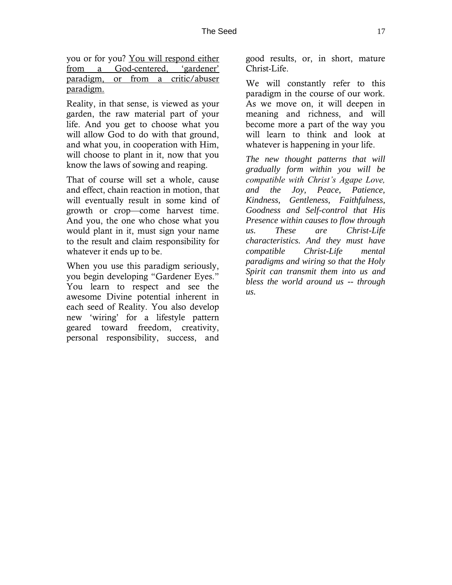you or for you? You will respond either from a God-centered, 'gardener' paradigm, or from a critic/abuser paradigm.

Reality, in that sense, is viewed as your garden, the raw material part of your life. And you get to choose what you will allow God to do with that ground, and what you, in cooperation with Him, will choose to plant in it, now that you know the laws of sowing and reaping.

That of course will set a whole, cause and effect, chain reaction in motion, that will eventually result in some kind of growth or crop—come harvest time. And you, the one who chose what you would plant in it, must sign your name to the result and claim responsibility for whatever it ends up to be.

When you use this paradigm seriously, you begin developing "Gardener Eyes." You learn to respect and see the awesome Divine potential inherent in each seed of Reality. You also develop new ‗wiring' for a lifestyle pattern geared toward freedom, creativity, personal responsibility, success, and

good results, or, in short, mature Christ-Life.

We will constantly refer to this paradigm in the course of our work. As we move on, it will deepen in meaning and richness, and will become more a part of the way you will learn to think and look at whatever is happening in your life.

*The new thought patterns that will gradually form within you will be compatible with Christ's Agape Love, and the Joy, Peace, Patience, Kindness, Gentleness, Faithfulness, Goodness and Self-control that His Presence within causes to flow through us. These are Christ-Life characteristics. And they must have compatible Christ-Life mental paradigms and wiring so that the Holy Spirit can transmit them into us and bless the world around us -- through us.*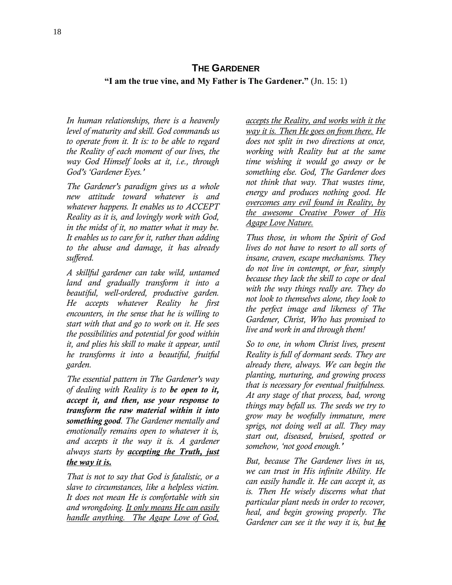#### **THE GARDENER**

#### **"I am the true vine, and My Father is The Gardener."** (Jn. 15: 1)

*In human relationships, there is a heavenly level of maturity and skill. God commands us to operate from it. It is: to be able to regard the Reality of each moment of our lives, the way God Himself looks at it, i.e., through God's ‗Gardener Eyes.'*

*The Gardener's paradigm gives us a whole new attitude toward whatever is and whatever happens. It enables us to ACCEPT Reality as it is, and lovingly work with God, in the midst of it, no matter what it may be. It enables us to care for it, rather than adding to the abuse and damage, it has already suffered.* 

*A skillful gardener can take wild, untamed land and gradually transform it into a beautiful, well-ordered, productive garden. He accepts whatever Reality he first encounters, in the sense that he is willing to start with that and go to work on it. He sees the possibilities and potential for good within it, and plies his skill to make it appear, until he transforms it into a beautiful, fruitful garden.*

*The essential pattern in The Gardener's way of dealing with Reality is to be open to it, accept it, and then, use your response to transform the raw material within it into something good. The Gardener mentally and emotionally remains open to whatever it is, and accepts it the way it is. A gardener always starts by accepting the Truth, just the way it is.*

*That is not to say that God is fatalistic, or a slave to circumstances, like a helpless victim. It does not mean He is comfortable with sin and wrongdoing. It only means He can easily handle anything. The Agape Love of God,*  *accepts the Reality, and works with it the way it is. Then He goes on from there. He does not split in two directions at once, working with Reality but at the same time wishing it would go away or be something else. God, The Gardener does not think that way. That wastes time, energy and produces nothing good. He overcomes any evil found in Reality, by the awesome Creative Power of His Agape Love Nature.*

*Thus those, in whom the Spirit of God lives do not have to resort to all sorts of insane, craven, escape mechanisms. They do not live in contempt, or fear, simply because they lack the skill to cope or deal with the way things really are. They do not look to themselves alone, they look to the perfect image and likeness of The Gardener, Christ, Who has promised to live and work in and through them!*

*So to one, in whom Christ lives, present Reality is full of dormant seeds. They are already there, always. We can begin the planting, nurturing, and growing process that is necessary for eventual fruitfulness. At any stage of that process, bad, wrong things may befall us. The seeds we try to grow may be woefully immature, mere sprigs, not doing well at all. They may start out, diseased, bruised, spotted or somehow, ‗not good enough.'* 

*But, because The Gardener lives in us, we can trust in His infinite Ability. He can easily handle it. He can accept it, as is. Then He wisely discerns what that particular plant needs in order to recover, heal, and begin growing properly. The Gardener can see it the way it is, but he*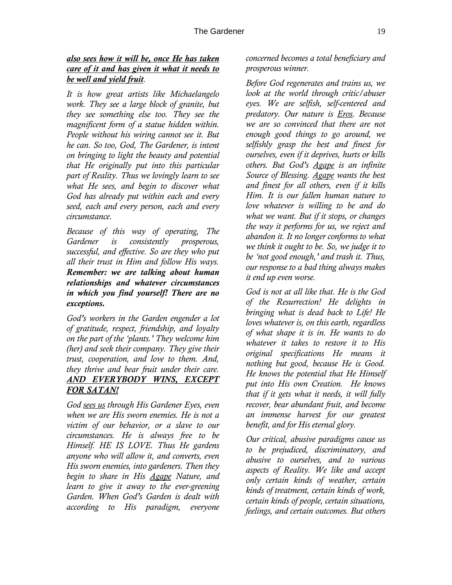#### *also sees how it will be, once He has taken care of it and has given it what it needs to be well and yield fruit.*

*It is how great artists like Michaelangelo work. They see a large block of granite, but they see something else too. They see the magnificent form of a statue hidden within. People without his wiring cannot see it. But he can. So too, God, The Gardener, is intent on bringing to light the beauty and potential that He originally put into this particular part of Reality. Thus we lovingly learn to see what He sees, and begin to discover what God has already put within each and every seed, each and every person, each and every circumstance.*

*Because of this way of operating, The Gardener is consistently prosperous, successful, and effective. So are they who put all their trust in Him and follow His ways. Remember: we are talking about human relationships and whatever circumstances in which you find yourself! There are no exceptions.* 

*God's workers in the Garden engender a lot of gratitude, respect, friendship, and loyalty on the part of the ‗plants.' They welcome him (her) and seek their company. They give their trust, cooperation, and love to them. And, they thrive and bear fruit under their care. AND EVERYBODY WINS, EXCEPT FOR SATAN!*

*God sees us through His Gardener Eyes, even when we are His sworn enemies. He is not a victim of our behavior, or a slave to our circumstances. He is always free to be Himself. HE IS LOVE. Thus He gardens anyone who will allow it, and converts, even His sworn enemies, into gardeners. Then they begin to share in His Agape Nature, and learn to give it away to the ever-greening Garden. When God's Garden is dealt with according to His paradigm, everyone* 

*concerned becomes a total beneficiary and prosperous winner.*

*Before God regenerates and trains us, we look at the world through critic/abuser eyes. We are selfish, self-centered and predatory. Our nature is Eros. Because we are so convinced that there are not enough good things to go around, we selfishly grasp the best and finest for ourselves, even if it deprives, hurts or kills others. But God's Agape is an infinite Source of Blessing. Agape wants the best and finest for all others, even if it kills Him. It is our fallen human nature to love whatever is willing to be and do what we want. But if it stops, or changes the way it performs for us, we reject and abandon it. It no longer conforms to what we think it ought to be. So, we judge it to be ‗not good enough,' and trash it. Thus, our response to a bad thing always makes it end up even worse.* 

*God is not at all like that. He is the God of the Resurrection! He delights in bringing what is dead back to Life! He loves whatever is, on this earth, regardless of what shape it is in. He wants to do whatever it takes to restore it to His original specifications He means it nothing but good, because He is Good. He knows the potential that He Himself put into His own Creation. He knows that if it gets what it needs, it will fully recover, bear abundant fruit, and become an immense harvest for our greatest benefit, and for His eternal glory.*

*Our critical, abusive paradigms cause us to be prejudiced, discriminatory, and abusive to ourselves, and to various aspects of Reality. We like and accept only certain kinds of weather, certain kinds of treatment, certain kinds of work, certain kinds of people, certain situations, feelings, and certain outcomes. But others*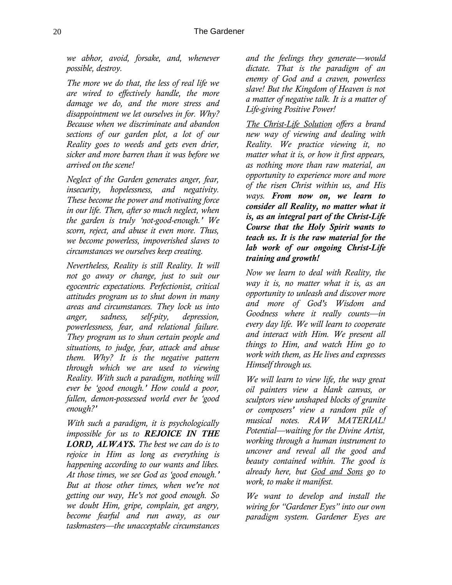*we abhor, avoid, forsake, and, whenever possible, destroy.* 

*The more we do that, the less of real life we are wired to effectively handle, the more damage we do, and the more stress and disappointment we let ourselves in for. Why? Because when we discriminate and abandon sections of our garden plot, a lot of our Reality goes to weeds and gets even drier, sicker and more barren than it was before we arrived on the scene!*

*Neglect of the Garden generates anger, fear, insecurity, hopelessness, and negativity. These become the power and motivating force in our life. Then, after so much neglect, when the garden is truly ‗not-good-enough.' We scorn, reject, and abuse it even more. Thus, we become powerless, impoverished slaves to circumstances we ourselves keep creating.*

*Nevertheless, Reality is still Reality. It will not go away or change, just to suit our egocentric expectations. Perfectionist, critical attitudes program us to shut down in many areas and circumstances. They lock us into anger, sadness, self-pity, depression, powerlessness, fear, and relational failure. They program us to shun certain people and situations, to judge, fear, attack and abuse them. Why? It is the negative pattern through which we are used to viewing Reality. With such a paradigm, nothing will ever be ‗good enough.' How could a poor, fallen, demon-possessed world ever be ‗good enough?'* 

*With such a paradigm, it is psychologically impossible for us to REJOICE IN THE LORD, ALWAYS. The best we can do is to rejoice in Him as long as everything is happening according to our wants and likes. At those times, we see God as ‗good enough.' But at those other times, when we're not getting our way, He's not good enough. So we doubt Him, gripe, complain, get angry, become fearful and run away, as our taskmasters—the unacceptable circumstances* 

*and the feelings they generate—would dictate. That is the paradigm of an enemy of God and a craven, powerless slave! But the Kingdom of Heaven is not a matter of negative talk. It is a matter of Life-giving Positive Power!*

*The Christ-Life Solution offers a brand new way of viewing and dealing with Reality. We practice viewing it, no matter what it is, or how it first appears, as nothing more than raw material, an opportunity to experience more and more of the risen Christ within us, and His ways. From now on, we learn to consider all Reality, no matter what it is, as an integral part of the Christ-Life Course that the Holy Spirit wants to teach us. It is the raw material for the lab work of our ongoing Christ-Life training and growth!*

*Now we learn to deal with Reality, the way it is, no matter what it is, as an opportunity to unleash and discover more and more of God's Wisdom and Goodness where it really counts—in every day life. We will learn to cooperate and interact with Him. We present all things to Him, and watch Him go to work with them, as He lives and expresses Himself through us.* 

*We will learn to view life, the way great oil painters view a blank canvas, or sculptors view unshaped blocks of granite or composers' view a random pile of musical notes. RAW MATERIAL! Potential—waiting for the Divine Artist, working through a human instrument to uncover and reveal all the good and beauty contained within. The good is already here, but God and Sons go to work, to make it manifest.*

*We want to develop and install the wiring for "Gardener Eyes" into our own paradigm system. Gardener Eyes are*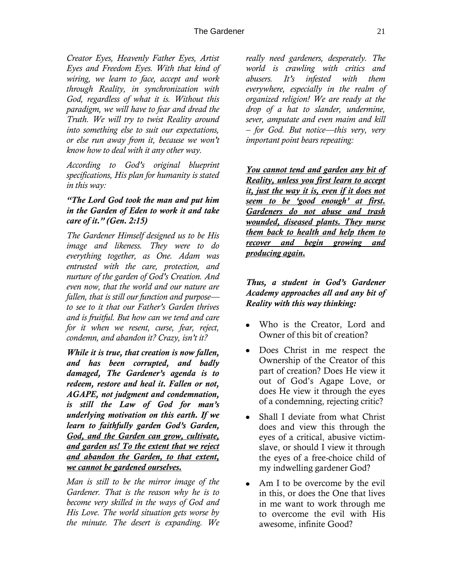*Creator Eyes, Heavenly Father Eyes, Artist Eyes and Freedom Eyes. With that kind of wiring, we learn to face, accept and work through Reality, in synchronization with God, regardless of what it is. Without this paradigm, we will have to fear and dread the Truth. We will try to twist Reality around into something else to suit our expectations, or else run away from it, because we won't know how to deal with it any other way.*

*According to God's original blueprint specifications, His plan for humanity is stated in this way:*

#### *"The Lord God took the man and put him in the Garden of Eden to work it and take care of it." (Gen. 2:15)*

*The Gardener Himself designed us to be His image and likeness. They were to do everything together, as One. Adam was entrusted with the care, protection, and nurture of the garden of God's Creation. And even now, that the world and our nature are fallen, that is still our function and purpose to see to it that our Father's Garden thrives and is fruitful. But how can we tend and care for it when we resent, curse, fear, reject, condemn, and abandon it? Crazy, isn't it?*

*While it is true, that creation is now fallen, and has been corrupted, and badly damaged, The Gardener"s agenda is to redeem, restore and heal it. Fallen or not, AGAPE, not judgment and condemnation, is still the Law of God for man"s underlying motivation on this earth. If we learn to faithfully garden God"s Garden, God, and the Garden can grow, cultivate, and garden us! To the extent that we reject and abandon the Garden, to that extent, we cannot be gardened ourselves.*

*Man is still to be the mirror image of the Gardener. That is the reason why he is to become very skilled in the ways of God and His Love. The world situation gets worse by the minute. The desert is expanding. We*  *really need gardeners, desperately. The world is crawling with critics and abusers. It's infested with them everywhere, especially in the realm of organized religion! We are ready at the drop of a hat to slander, undermine, sever, amputate and even maim and kill – for God. But notice—this very, very important point bears repeating:*

*You cannot tend and garden any bit of Reality, unless you first learn to accept it, just the way it is, even if it does not seem to be "good enough" at first. Gardeners do not abuse and trash wounded, diseased plants. They nurse them back to health and help them to recover and begin growing and producing again.* 

#### *Thus, a student in God"s Gardener Academy approaches all and any bit of Reality with this way thinking:*

- Who is the Creator, Lord and Owner of this bit of creation?
- Does Christ in me respect the Ownership of the Creator of this part of creation? Does He view it out of God's Agape Love, or does He view it through the eyes of a condemning, rejecting critic?
- Shall I deviate from what Christ  $\bullet$ does and view this through the eyes of a critical, abusive victimslave, or should I view it through the eyes of a free-choice child of my indwelling gardener God?
- Am I to be overcome by the evil in this, or does the One that lives in me want to work through me to overcome the evil with His awesome, infinite Good?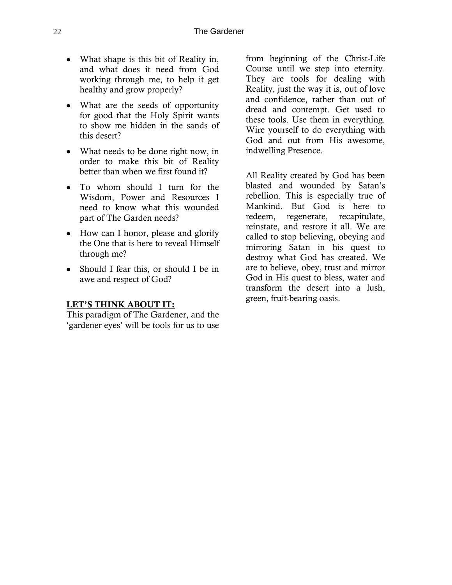- What shape is this bit of Reality in, and what does it need from God working through me, to help it get healthy and grow properly?
- What are the seeds of opportunity for good that the Holy Spirit wants to show me hidden in the sands of this desert?
- What needs to be done right now, in order to make this bit of Reality better than when we first found it?
- To whom should I turn for the Wisdom, Power and Resources I need to know what this wounded part of The Garden needs?
- How can I honor, please and glorify the One that is here to reveal Himself through me?
- Should I fear this, or should I be in awe and respect of God?

#### **LET"S THINK ABOUT IT:**

This paradigm of The Gardener, and the ‗gardener eyes' will be tools for us to use from beginning of the Christ-Life Course until we step into eternity. They are tools for dealing with Reality, just the way it is, out of love and confidence, rather than out of dread and contempt. Get used to these tools. Use them in everything. Wire yourself to do everything with God and out from His awesome, indwelling Presence.

All Reality created by God has been blasted and wounded by Satan's rebellion. This is especially true of Mankind. But God is here to redeem, regenerate, recapitulate, reinstate, and restore it all. We are called to stop believing, obeying and mirroring Satan in his quest to destroy what God has created. We are to believe, obey, trust and mirror God in His quest to bless, water and transform the desert into a lush, green, fruit-bearing oasis.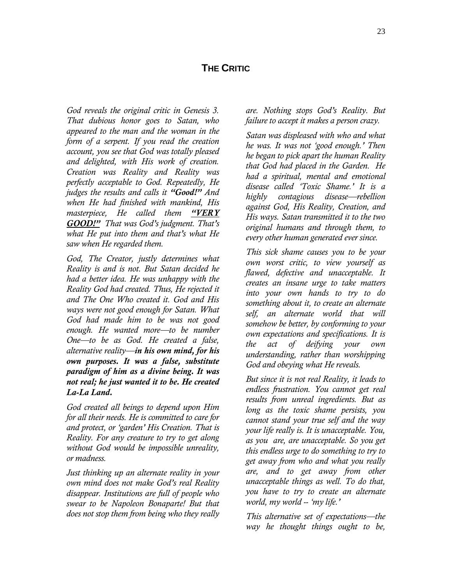## **THE CRITIC**

*God reveals the original critic in Genesis 3. That dubious honor goes to Satan, who appeared to the man and the woman in the form of a serpent. If you read the creation account, you see that God was totally pleased and delighted, with His work of creation. Creation was Reality and Reality was perfectly acceptable to God. Repeatedly, He judges the results and calls it "Good!" And when He had finished with mankind, His masterpiece, He called them "VERY GOOD!" That was God's judgment. That's what He put into them and that's what He saw when He regarded them.*

*God, The Creator, justly determines what Reality is and is not. But Satan decided he had a better idea. He was unhappy with the Reality God had created. Thus, He rejected it and The One Who created it. God and His ways were not good enough for Satan. What God had made him to be was not good enough. He wanted more—to be number One—to be as God. He created a false, alternative reality—in his own mind, for his own purposes. It was a false, substitute paradigm of him as a divine being. It was not real; he just wanted it to be. He created La-La Land.*

*God created all beings to depend upon Him for all their needs. He is committed to care for and protect, or ‗garden' His Creation. That is Reality. For any creature to try to get along without God would be impossible unreality, or madness.* 

*Just thinking up an alternate reality in your own mind does not make God's real Reality disappear. Institutions are full of people who swear to be Napoleon Bonaparte! But that does not stop them from being who they really* 

*are. Nothing stops God's Reality. But failure to accept it makes a person crazy.*

*Satan was displeased with who and what he was. It was not ‗good enough.' Then he began to pick apart the human Reality that God had placed in the Garden. He had a spiritual, mental and emotional disease called ‗Toxic Shame.' It is a highly contagious disease—rebellion against God, His Reality, Creation, and His ways. Satan transmitted it to the two original humans and through them, to every other human generated ever since.*

*This sick shame causes you to be your own worst critic, to view yourself as flawed, defective and unacceptable. It creates an insane urge to take matters into your own hands to try to do something about it, to create an alternate self, an alternate world that will somehow be better, by conforming to your own expectations and specifications. It is the act of deifying your own understanding, rather than worshipping God and obeying what He reveals.*

*But since it is not real Reality, it leads to endless frustration. You cannot get real results from unreal ingredients. But as long as the toxic shame persists, you cannot stand your true self and the way your life really is. It is unacceptable. You, as you are, are unacceptable. So you get this endless urge to do something to try to get away from who and what you really are, and to get away from other unacceptable things as well. To do that, you have to try to create an alternate world, my world -- ‗my life.'* 

*This alternative set of expectations—the way he thought things ought to be,*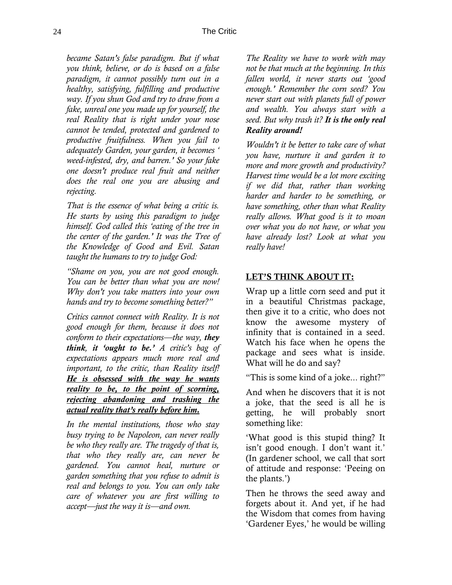*became Satan's false paradigm. But if what you think, believe, or do is based on a false paradigm, it cannot possibly turn out in a healthy, satisfying, fulfilling and productive way. If you shun God and try to draw from a fake, unreal one you made up for yourself, the real Reality that is right under your nose cannot be tended, protected and gardened to productive fruitfulness. When you fail to adequately Garden, your garden, it becomes ‗ weed-infested, dry, and barren.' So your fake one doesn't produce real fruit and neither does the real one you are abusing and rejecting.*

*That is the essence of what being a critic is. He starts by using this paradigm to judge himself. God called this ‗eating of the tree in the center of the garden.' It was the Tree of the Knowledge of Good and Evil. Satan taught the humans to try to judge God:* 

*―Shame on you, you are not good enough. You can be better than what you are now! Why don't you take matters into your own hands and try to become something better?‖*

*Critics cannot connect with Reality. It is not good enough for them, because it does not conform to their expectations—the way, they think, it "ought to be." A critic's bag of expectations appears much more real and important, to the critic, than Reality itself! He is obsessed with the way he wants reality to be, to the point of scorning, rejecting abandoning and trashing the actual reality that"s really before him.*

*In the mental institutions, those who stay busy trying to be Napoleon, can never really be who they really are. The tragedy of that is, that who they really are, can never be gardened. You cannot heal, nurture or garden something that you refuse to admit is real and belongs to you. You can only take care of whatever you are first willing to accept—just the way it is—and own.* 

*The Reality we have to work with may not be that much at the beginning. In this fallen world, it never starts out ‗good enough.' Remember the corn seed? You never start out with planets full of power and wealth. You always start with a seed. But why trash it? It is the only real Reality around!*

*Wouldn't it be better to take care of what you have, nurture it and garden it to more and more growth and productivity? Harvest time would be a lot more exciting if we did that, rather than working harder and harder to be something, or have something, other than what Reality really allows. What good is it to moan over what you do not have, or what you have already lost? Look at what you really have!*

#### **LET"S THINK ABOUT IT:**

Wrap up a little corn seed and put it in a beautiful Christmas package, then give it to a critic, who does not know the awesome mystery of infinity that is contained in a seed. Watch his face when he opens the package and sees what is inside. What will he do and say?

"This is some kind of a joke... right?"

And when he discovers that it is not a joke, that the seed is all he is getting, he will probably snort something like:

‗What good is this stupid thing? It isn't good enough. I don't want it.' (In gardener school, we call that sort of attitude and response: ‗Peeing on the plants.')

Then he throws the seed away and forgets about it. And yet, if he had the Wisdom that comes from having ‗Gardener Eyes,' he would be willing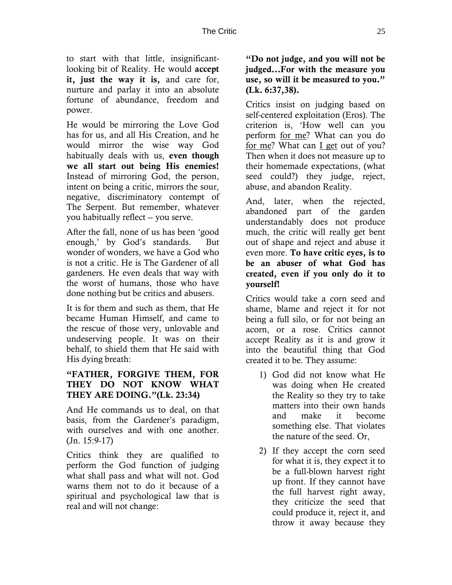to start with that little, insignificantlooking bit of Reality. He would **accept it, just the way it is,** and care for, nurture and parlay it into an absolute fortune of abundance, freedom and power.

He would be mirroring the Love God has for us, and all His Creation, and he would mirror the wise way God habitually deals with us, **even though we all start out being His enemies!** Instead of mirroring God, the person, intent on being a critic, mirrors the sour, negative, discriminatory contempt of The Serpent. But remember, whatever you habitually reflect -- you serve.

After the fall, none of us has been 'good enough,' by God's standards. But wonder of wonders, we have a God who is not a critic. He is The Gardener of all gardeners. He even deals that way with the worst of humans, those who have done nothing but be critics and abusers.

It is for them and such as them, that He became Human Himself, and came to the rescue of those very, unlovable and undeserving people. It was on their behalf, to shield them that He said with His dying breath:

## **"FATHER, FORGIVE THEM, FOR THEY DO NOT KNOW WHAT THEY ARE DOING."(Lk. 23:34)**

And He commands us to deal, on that basis, from the Gardener's paradigm, with ourselves and with one another. (Jn. 15:9-17)

Critics think they are qualified to perform the God function of judging what shall pass and what will not. God warns them not to do it because of a spiritual and psychological law that is real and will not change:

**"Do not judge, and you will not be judged...For with the measure you use, so will it be measured to you." (Lk. 6:37,38).**

Critics insist on judging based on self-centered exploitation (Eros). The criterion is, 'How well can you perform for me? What can you do for me? What can I get out of you? Then when it does not measure up to their homemade expectations, (what seed could?) they judge, reject, abuse, and abandon Reality.

And, later, when the rejected, abandoned part of the garden understandably does not produce much, the critic will really get bent out of shape and reject and abuse it even more. **To have critic eyes, is to be an abuser of what God has created, even if you only do it to yourself!**

Critics would take a corn seed and shame, blame and reject it for not being a full silo, or for not being an acorn, or a rose. Critics cannot accept Reality as it is and grow it into the beautiful thing that God created it to be. They assume:

- 1) God did not know what He was doing when He created the Reality so they try to take matters into their own hands and make it become something else. That violates the nature of the seed. Or,
- 2) If they accept the corn seed for what it is, they expect it to be a full-blown harvest right up front. If they cannot have the full harvest right away, they criticize the seed that could produce it, reject it, and throw it away because they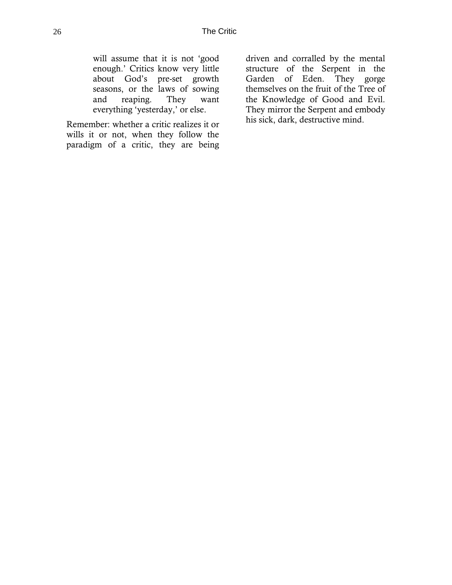will assume that it is not 'good enough.' Critics know very little about God's pre-set growth seasons, or the laws of sowing and reaping. They want everything 'yesterday,' or else.

Remember: whether a critic realizes it or wills it or not, when they follow the paradigm of a critic, they are being

driven and corralled by the mental structure of the Serpent in the Garden of Eden. They gorge themselves on the fruit of the Tree of the Knowledge of Good and Evil. They mirror the Serpent and embody his sick, dark, destructive mind.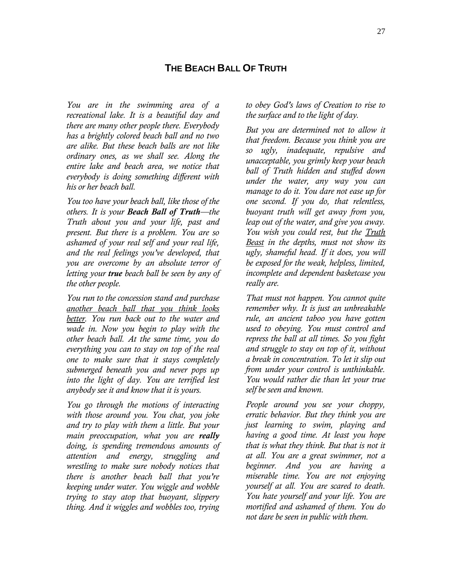#### **THE BEACH BALL OF TRUTH**

*You are in the swimming area of a recreational lake. It is a beautiful day and there are many other people there. Everybody has a brightly colored beach ball and no two are alike. But these beach balls are not like ordinary ones, as we shall see. Along the entire lake and beach area, we notice that everybody is doing something different with his or her beach ball.*

*You too have your beach ball, like those of the others. It is your Beach Ball of Truth—the Truth about you and your life, past and present. But there is a problem. You are so ashamed of your real self and your real life, and the real feelings you've developed, that you are overcome by an absolute terror of letting your true beach ball be seen by any of the other people.*

*You run to the concession stand and purchase another beach ball that you think looks better. You run back out to the water and wade in. Now you begin to play with the other beach ball. At the same time, you do everything you can to stay on top of the real one to make sure that it stays completely submerged beneath you and never pops up into the light of day. You are terrified lest anybody see it and know that it is yours.*

*You go through the motions of interacting with those around you. You chat, you joke and try to play with them a little. But your main preoccupation, what you are really doing, is spending tremendous amounts of attention and energy, struggling and wrestling to make sure nobody notices that there is another beach ball that you're keeping under water. You wiggle and wobble trying to stay atop that buoyant, slippery thing. And it wiggles and wobbles too, trying* 

*to obey God's laws of Creation to rise to the surface and to the light of day.*

*But you are determined not to allow it that freedom. Because you think you are so ugly, inadequate, repulsive and unacceptable, you grimly keep your beach ball of Truth hidden and stuffed down under the water, any way you can manage to do it. You dare not ease up for one second. If you do, that relentless, buoyant truth will get away from you, leap out of the water, and give you away. You wish you could rest, but the Truth Beast in the depths, must not show its ugly, shameful head. If it does, you will be exposed for the weak, helpless, limited, incomplete and dependent basketcase you really are.*

*That must not happen. You cannot quite remember why. It is just an unbreakable rule, an ancient taboo you have gotten used to obeying. You must control and repress the ball at all times. So you fight and struggle to stay on top of it, without a break in concentration. To let it slip out from under your control is unthinkable. You would rather die than let your true self be seen and known.*

*People around you see your choppy, erratic behavior. But they think you are just learning to swim, playing and having a good time. At least you hope that is what they think. But that is not it at all. You are a great swimmer, not a beginner. And you are having a miserable time. You are not enjoying yourself at all. You are scared to death. You hate yourself and your life. You are mortified and ashamed of them. You do not dare be seen in public with them.*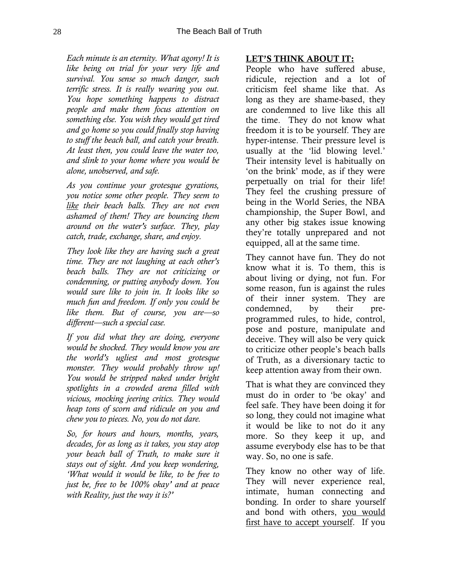*Each minute is an eternity. What agony! It is like being on trial for your very life and survival. You sense so much danger, such terrific stress. It is really wearing you out. You hope something happens to distract people and make them focus attention on something else. You wish they would get tired and go home so you could finally stop having to stuff the beach ball, and catch your breath. At least then, you could leave the water too, and slink to your home where you would be alone, unobserved, and safe.*

*As you continue your grotesque gyrations, you notice some other people. They seem to like their beach balls. They are not even ashamed of them! They are bouncing them around on the water's surface. They, play catch, trade, exchange, share, and enjoy.*

*They look like they are having such a great time. They are not laughing at each other's beach balls. They are not criticizing or condemning, or putting anybody down. You would sure like to join in. It looks like so much fun and freedom. If only you could be like them. But of course, you are—so different—such a special case.*

*If you did what they are doing, everyone would be shocked. They would know you are the world's ugliest and most grotesque monster. They would probably throw up! You would be stripped naked under bright spotlights in a crowded arena filled with vicious, mocking jeering critics. They would heap tons of scorn and ridicule on you and chew you to pieces. No, you do not dare.*

*So, for hours and hours, months, years, decades, for as long as it takes, you stay atop your beach ball of Truth, to make sure it stays out of sight. And you keep wondering, ‗What would it would be like, to be free to just be, free to be 100% okay' and at peace with Reality, just the way it is?'*

#### **LET"S THINK ABOUT IT:**

People who have suffered abuse, ridicule, rejection and a lot of criticism feel shame like that. As long as they are shame-based, they are condemned to live like this all the time. They do not know what freedom it is to be yourself. They are hyper-intense. Their pressure level is usually at the 'lid blowing level.' Their intensity level is habitually on 'on the brink' mode, as if they were perpetually on trial for their life! They feel the crushing pressure of being in the World Series, the NBA championship, the Super Bowl, and any other big stakes issue knowing they're totally unprepared and not equipped, all at the same time.

They cannot have fun. They do not know what it is. To them, this is about living or dying, not fun. For some reason, fun is against the rules of their inner system. They are condemned, by their preprogrammed rules, to hide, control, pose and posture, manipulate and deceive. They will also be very quick to criticize other people's beach balls of Truth, as a diversionary tactic to keep attention away from their own.

That is what they are convinced they must do in order to 'be okay' and feel safe. They have been doing it for so long, they could not imagine what it would be like to not do it any more. So they keep it up, and assume everybody else has to be that way. So, no one is safe.

They know no other way of life. They will never experience real, intimate, human connecting and bonding. In order to share yourself and bond with others, you would first have to accept yourself. If you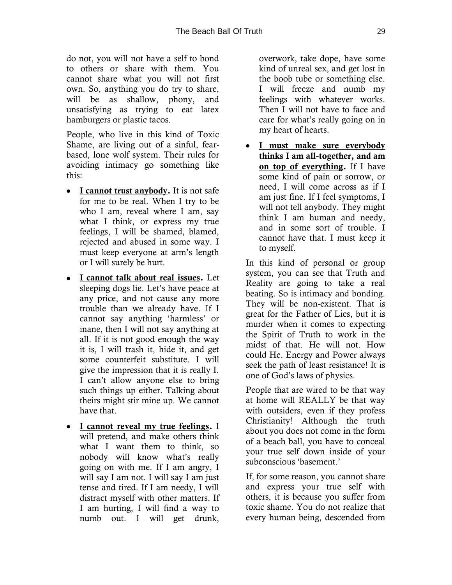do not, you will not have a self to bond to others or share with them. You cannot share what you will not first own. So, anything you do try to share, will be as shallow, phony, and unsatisfying as trying to eat latex hamburgers or plastic tacos.

People, who live in this kind of Toxic Shame, are living out of a sinful, fearbased, lone wolf system. Their rules for avoiding intimacy go something like this:

- I cannot trust anybody. It is not safe for me to be real. When I try to be who I am, reveal where I am, say what I think, or express my true feelings, I will be shamed, blamed, rejected and abused in some way. I must keep everyone at arm's length or I will surely be hurt.
- **I cannot talk about real issues.** Let sleeping dogs lie. Let's have peace at any price, and not cause any more trouble than we already have. If I cannot say anything 'harmless' or inane, then I will not say anything at all. If it is not good enough the way it is, I will trash it, hide it, and get some counterfeit substitute. I will give the impression that it is really I. I can't allow anyone else to bring such things up either. Talking about theirs might stir mine up. We cannot have that.
- **I cannot reveal my true feelings.** I will pretend, and make others think what I want them to think, so nobody will know what's really going on with me. If I am angry, I will say I am not. I will say I am just tense and tired. If I am needy, I will distract myself with other matters. If I am hurting, I will find a way to numb out. I will get drunk,

overwork, take dope, have some kind of unreal sex, and get lost in the boob tube or something else. I will freeze and numb my feelings with whatever works. Then I will not have to face and care for what's really going on in my heart of hearts.

**I must make sure everybody thinks I am all-together, and am on top of everything.** If I have some kind of pain or sorrow, or need, I will come across as if I am just fine. If I feel symptoms, I will not tell anybody. They might think I am human and needy, and in some sort of trouble. I cannot have that. I must keep it to myself.

In this kind of personal or group system, you can see that Truth and Reality are going to take a real beating. So is intimacy and bonding. They will be non-existent. That is great for the Father of Lies, but it is murder when it comes to expecting the Spirit of Truth to work in the midst of that. He will not. How could He. Energy and Power always seek the path of least resistance! It is one of God's laws of physics.

People that are wired to be that way at home will REALLY be that way with outsiders, even if they profess Christianity! Although the truth about you does not come in the form of a beach ball, you have to conceal your true self down inside of your subconscious 'basement.'

If, for some reason, you cannot share and express your true self with others, it is because you suffer from toxic shame. You do not realize that every human being, descended from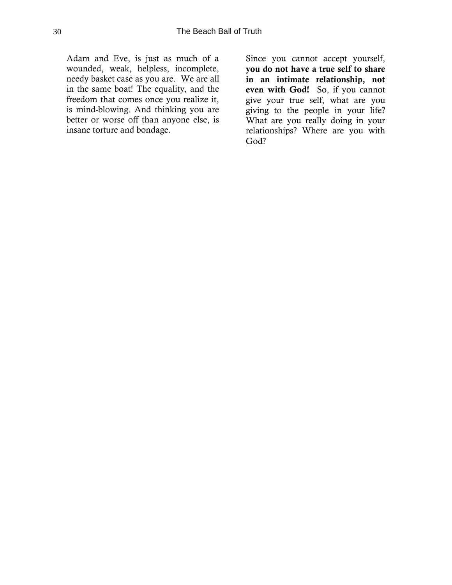Adam and Eve, is just as much of a wounded, weak, helpless, incomplete, needy basket case as you are. We are all in the same boat! The equality, and the freedom that comes once you realize it, is mind-blowing. And thinking you are better or worse off than anyone else, is insane torture and bondage.

Since you cannot accept yourself, **you do not have a true self to share in an intimate relationship, not even with God!** So, if you cannot give your true self, what are you giving to the people in your life? What are you really doing in your relationships? Where are you with God?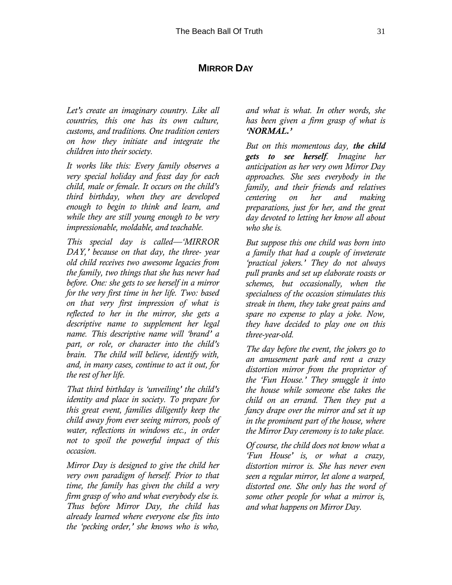## **MIRROR DAY**

*Let's create an imaginary country. Like all countries, this one has its own culture, customs, and traditions. One tradition centers on how they initiate and integrate the children into their society.*

*It works like this: Every family observes a very special holiday and feast day for each child, male or female. It occurs on the child's third birthday, when they are developed enough to begin to think and learn, and while they are still young enough to be very impressionable, moldable, and teachable.*

*This special day is called*—*'MIRROR DAY,' because on that day, the three- year old child receives two awesome legacies from the family, two things that she has never had before. One: she gets to see herself in a mirror for the very first time in her life. Two: based on that very first impression of what is reflected to her in the mirror, she gets a descriptive name to supplement her legal name. This descriptive name will ‗brand' a part, or role, or character into the child's brain. The child will believe, identify with, and, in many cases, continue to act it out, for the rest of her life.*

*That third birthday is ‗unveiling' the child's identity and place in society. To prepare for this great event, families diligently keep the child away from ever seeing mirrors, pools of water, reflections in windows etc., in order not to spoil the powerful impact of this occasion.*

*Mirror Day is designed to give the child her very own paradigm of herself. Prior to that time, the family has given the child a very firm grasp of who and what everybody else is. Thus before Mirror Day, the child has already learned where everyone else fits into the ‗pecking order,' she knows who is who,* 

*and what is what. In other words, she has been given a firm grasp of what is "NORMAL."*

*But on this momentous day, the child gets to see herself. Imagine her anticipation as her very own Mirror Day approaches. She sees everybody in the family, and their friends and relatives centering on her and making preparations, just for her, and the great day devoted to letting her know all about who she is.*

*But suppose this one child was born into a family that had a couple of inveterate ‗practical jokers.' They do not always pull pranks and set up elaborate roasts or schemes, but occasionally, when the specialness of the occasion stimulates this streak in them, they take great pains and spare no expense to play a joke. Now, they have decided to play one on this three-year-old.*

*The day before the event, the jokers go to an amusement park and rent a crazy distortion mirror from the proprietor of the ‗Fun House.' They smuggle it into the house while someone else takes the child on an errand. Then they put a fancy drape over the mirror and set it up in the prominent part of the house, where the Mirror Day ceremony is to take place.*

*Of course, the child does not know what a ‗Fun House' is, or what a crazy, distortion mirror is. She has never even seen a regular mirror, let alone a warped, distorted one. She only has the word of some other people for what a mirror is, and what happens on Mirror Day.*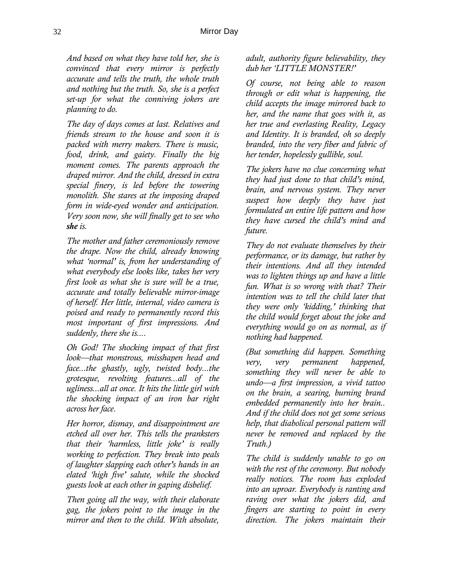*And based on what they have told her, she is convinced that every mirror is perfectly accurate and tells the truth, the whole truth and nothing but the truth. So, she is a perfect set-up for what the conniving jokers are planning to do.*

*The day of days comes at last. Relatives and friends stream to the house and soon it is packed with merry makers. There is music, food, drink, and gaiety. Finally the big moment comes. The parents approach the draped mirror. And the child, dressed in extra special finery, is led before the towering monolith. She stares at the imposing draped form in wide-eyed wonder and anticipation. Very soon now, she will finally get to see who she is.* 

*The mother and father ceremoniously remove the drape. Now the child, already knowing what ‗normal' is, from her understanding of what everybody else looks like, takes her very first look as what she is sure will be a true, accurate and totally believable mirror-image of herself. Her little, internal, video camera is poised and ready to permanently record this most important of first impressions. And suddenly, there she is....*

*Oh God! The shocking impact of that first look—that monstrous, misshapen head and face...the ghastly, ugly, twisted body...the grotesque, revolting features...all of the ugliness...all at once. It hits the little girl with the shocking impact of an iron bar right across her face.*

*Her horror, dismay, and disappointment are etched all over her. This tells the pranksters that their ‗harmless, little joke' is really working to perfection. They break into peals of laughter slapping each other's hands in an elated ‗high five' salute, while the shocked guests look at each other in gaping disbelief.*

*Then going all the way, with their elaborate gag, the jokers point to the image in the mirror and then to the child. With absolute,* 

*adult, authority figure believability, they dub her ‗LITTLE MONSTER!'* 

*Of course, not being able to reason through or edit what is happening, the child accepts the image mirrored back to her, and the name that goes with it, as her true and everlasting Reality, Legacy and Identity. It is branded, oh so deeply branded, into the very fiber and fabric of her tender, hopelessly gullible, soul.*

*The jokers have no clue concerning what they had just done to that child's mind, brain, and nervous system. They never suspect how deeply they have just formulated an entire life pattern and how they have cursed the child's mind and future.* 

*They do not evaluate themselves by their performance, or its damage, but rather by their intentions. And all they intended was to lighten things up and have a little fun. What is so wrong with that? Their intention was to tell the child later that they were only ‗kidding,' thinking that the child would forget about the joke and everything would go on as normal, as if nothing had happened.* 

*(But something did happen. Something very, very permanent happened, something they will never be able to undo—a first impression, a vivid tattoo on the brain, a searing, burning brand embedded permanently into her brain.. And if the child does not get some serious help, that diabolical personal pattern will never be removed and replaced by the Truth.)* 

*The child is suddenly unable to go on with the rest of the ceremony. But nobody really notices. The room has exploded into an uproar. Everybody is ranting and raving over what the jokers did, and fingers are starting to point in every direction. The jokers maintain their*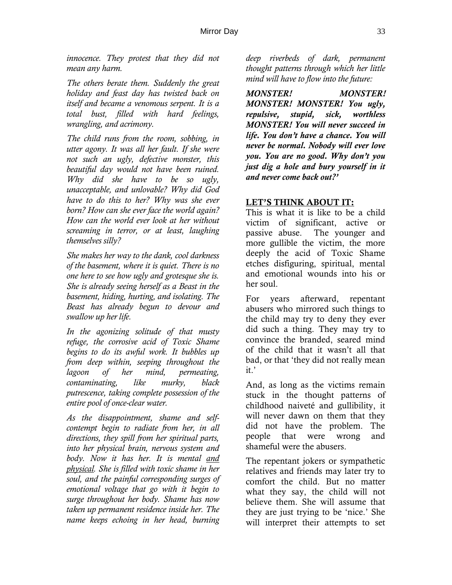*innocence. They protest that they did not mean any harm.* 

*The others berate them. Suddenly the great holiday and feast day has twisted back on itself and became a venomous serpent. It is a total bust, filled with hard feelings, wrangling, and acrimony.*

*The child runs from the room, sobbing, in utter agony. It was all her fault. If she were not such an ugly, defective monster, this beautiful day would not have been ruined. Why did she have to be so ugly, unacceptable, and unlovable? Why did God have to do this to her? Why was she ever born? How can she ever face the world again? How can the world ever look at her without screaming in terror, or at least, laughing themselves silly?* 

*She makes her way to the dank, cool darkness of the basement, where it is quiet. There is no one here to see how ugly and grotesque she is. She is already seeing herself as a Beast in the basement, hiding, hurting, and isolating. The Beast has already begun to devour and swallow up her life.*

*In the agonizing solitude of that musty refuge, the corrosive acid of Toxic Shame begins to do its awful work. It bubbles up from deep within, seeping throughout the lagoon of her mind, permeating, contaminating, like murky, black putrescence, taking complete possession of the entire pool of once-clear water.* 

*As the disappointment, shame and selfcontempt begin to radiate from her, in all directions, they spill from her spiritual parts, into her physical brain, nervous system and body. Now it has her. It is mental and physical. She is filled with toxic shame in her soul, and the painful corresponding surges of emotional voltage that go with it begin to surge throughout her body. Shame has now taken up permanent residence inside her. The name keeps echoing in her head, burning* 

*deep riverbeds of dark, permanent thought patterns through which her little mind will have to flow into the future:*

*MONSTER! MONSTER! MONSTER! MONSTER! You ugly, repulsive, stupid, sick, worthless MONSTER! You will never succeed in life. You don"t have a chance. You will never be normal. Nobody will ever love you. You are no good. Why don"t you just dig a hole and bury yourself in it and never come back out?"* 

#### **LET"S THINK ABOUT IT:**

This is what it is like to be a child victim of significant, active or passive abuse. The younger and more gullible the victim, the more deeply the acid of Toxic Shame etches disfiguring, spiritual, mental and emotional wounds into his or her soul.

For years afterward, repentant abusers who mirrored such things to the child may try to deny they ever did such a thing. They may try to convince the branded, seared mind of the child that it wasn't all that bad, or that 'they did not really mean it.'

And, as long as the victims remain stuck in the thought patterns of childhood naiveté and gullibility, it will never dawn on them that they did not have the problem. The people that were wrong and shameful were the abusers.

The repentant jokers or sympathetic relatives and friends may later try to comfort the child. But no matter what they say, the child will not believe them. She will assume that they are just trying to be 'nice.' She will interpret their attempts to set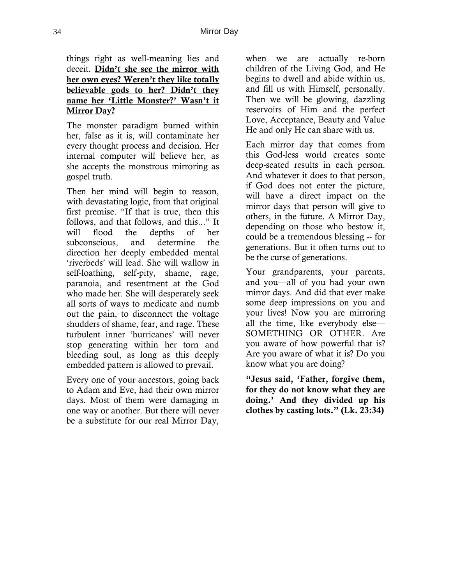things right as well-meaning lies and deceit. **Didn"t she see the mirror with her own eyes? Weren"t they like totally believable gods to her? Didn"t they name her "Little Monster?" Wasn"t it Mirror Day?**

The monster paradigm burned within her, false as it is, will contaminate her every thought process and decision. Her internal computer will believe her, as she accepts the monstrous mirroring as gospel truth.

Then her mind will begin to reason, with devastating logic, from that original first premise. "If that is true, then this follows, and that follows, and this..." It will flood the depths of her subconscious, and determine the direction her deeply embedded mental ‗riverbeds' will lead. She will wallow in self-loathing, self-pity, shame, rage, paranoia, and resentment at the God who made her. She will desperately seek all sorts of ways to medicate and numb out the pain, to disconnect the voltage shudders of shame, fear, and rage. These turbulent inner 'hurricanes' will never stop generating within her torn and bleeding soul, as long as this deeply embedded pattern is allowed to prevail.

Every one of your ancestors, going back to Adam and Eve, had their own mirror days. Most of them were damaging in one way or another. But there will never be a substitute for our real Mirror Day,

when we are actually re-born children of the Living God, and He begins to dwell and abide within us, and fill us with Himself, personally. Then we will be glowing, dazzling reservoirs of Him and the perfect Love, Acceptance, Beauty and Value He and only He can share with us.

Each mirror day that comes from this God-less world creates some deep-seated results in each person. And whatever it does to that person, if God does not enter the picture, will have a direct impact on the mirror days that person will give to others, in the future. A Mirror Day, depending on those who bestow it, could be a tremendous blessing -- for generations. But it often turns out to be the curse of generations.

Your grandparents, your parents, and you—all of you had your own mirror days. And did that ever make some deep impressions on you and your lives! Now you are mirroring all the time, like everybody else— SOMETHING OR OTHER. Are you aware of how powerful that is? Are you aware of what it is? Do you know what you are doing?

**"Jesus said, "Father, forgive them, for they do not know what they are doing." And they divided up his clothes by casting lots." (Lk. 23:34)**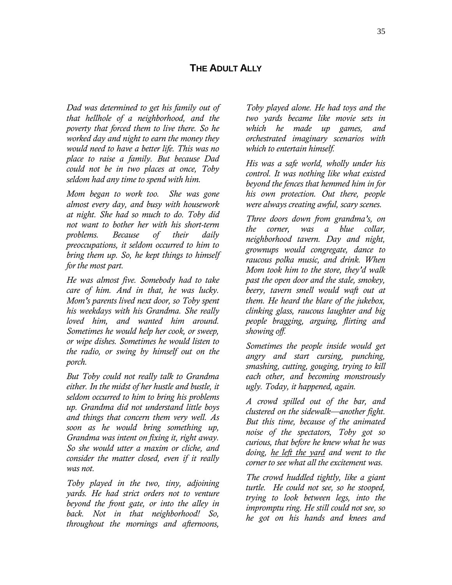## **THE ADULT ALLY**

*Dad was determined to get his family out of that hellhole of a neighborhood, and the poverty that forced them to live there. So he worked day and night to earn the money they would need to have a better life. This was no place to raise a family. But because Dad could not be in two places at once, Toby seldom had any time to spend with him.*

*Mom began to work too. She was gone almost every day, and busy with housework at night. She had so much to do. Toby did not want to bother her with his short-term problems. Because of their daily preoccupations, it seldom occurred to him to bring them up. So, he kept things to himself for the most part.*

*He was almost five. Somebody had to take care of him. And in that, he was lucky. Mom's parents lived next door, so Toby spent his weekdays with his Grandma. She really loved him, and wanted him around. Sometimes he would help her cook, or sweep, or wipe dishes. Sometimes he would listen to the radio, or swing by himself out on the porch.* 

*But Toby could not really talk to Grandma either. In the midst of her hustle and bustle, it seldom occurred to him to bring his problems up. Grandma did not understand little boys and things that concern them very well. As soon as he would bring something up, Grandma was intent on fixing it, right away. So she would utter a maxim or cliche, and consider the matter closed, even if it really was not.* 

*Toby played in the two, tiny, adjoining yards. He had strict orders not to venture beyond the front gate, or into the alley in back. Not in that neighborhood! So, throughout the mornings and afternoons,* 

*Toby played alone. He had toys and the two yards became like movie sets in which he made up games, and orchestrated imaginary scenarios with which to entertain himself.* 

*His was a safe world, wholly under his control. It was nothing like what existed beyond the fences that hemmed him in for his own protection. Out there, people were always creating awful, scary scenes.*

*Three doors down from grandma's, on the corner, was a blue collar, neighborhood tavern. Day and night, grownups would congregate, dance to raucous polka music, and drink. When Mom took him to the store, they'd walk past the open door and the stale, smokey, beery, tavern smell would waft out at them. He heard the blare of the jukebox, clinking glass, raucous laughter and big people bragging, arguing, flirting and showing off.* 

*Sometimes the people inside would get angry and start cursing, punching, smashing, cutting, gouging, trying to kill each other, and becoming monstrously ugly. Today, it happened, again.* 

*A crowd spilled out of the bar, and clustered on the sidewalk—another fight. But this time, because of the animated noise of the spectators, Toby got so curious, that before he knew what he was doing, he left the yard and went to the corner to see what all the excitement was.* 

*The crowd huddled tightly, like a giant turtle. He could not see, so he stooped, trying to look between legs, into the impromptu ring. He still could not see, so he got on his hands and knees and*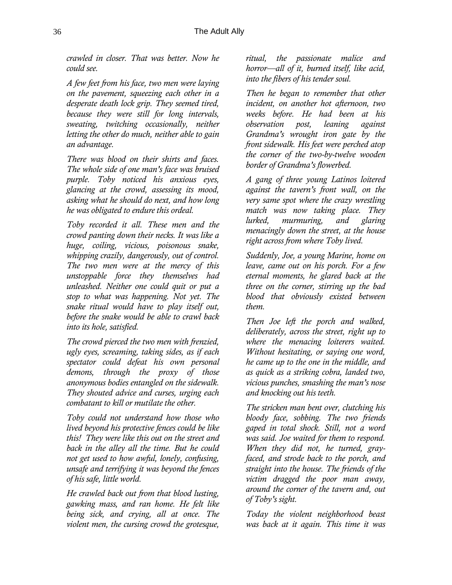*crawled in closer. That was better. Now he could see.*

*A few feet from his face, two men were laying on the pavement, squeezing each other in a desperate death lock grip. They seemed tired, because they were still for long intervals, sweating, twitching occasionally, neither letting the other do much, neither able to gain an advantage.* 

*There was blood on their shirts and faces. The whole side of one man's face was bruised purple. Toby noticed his anxious eyes, glancing at the crowd, assessing its mood, asking what he should do next, and how long he was obligated to endure this ordeal.* 

*Toby recorded it all. These men and the crowd panting down their necks. It was like a huge, coiling, vicious, poisonous snake, whipping crazily, dangerously, out of control. The two men were at the mercy of this unstoppable force they themselves had unleashed. Neither one could quit or put a stop to what was happening. Not yet. The snake ritual would have to play itself out, before the snake would be able to crawl back into its hole, satisfied.*

*The crowd pierced the two men with frenzied, ugly eyes, screaming, taking sides, as if each spectator could defeat his own personal demons, through the proxy of those anonymous bodies entangled on the sidewalk. They shouted advice and curses, urging each combatant to kill or mutilate the other.* 

*Toby could not understand how those who lived beyond his protective fences could be like this! They were like this out on the street and back in the alley all the time. But he could not get used to how awful, lonely, confusing, unsafe and terrifying it was beyond the fences of his safe, little world.*

*He crawled back out from that blood lusting, gawking mass, and ran home. He felt like being sick, and crying, all at once. The violent men, the cursing crowd the grotesque,* 

*ritual, the passionate malice and horror—all of it, burned itself, like acid, into the fibers of his tender soul.* 

*Then he began to remember that other incident, on another hot afternoon, two weeks before. He had been at his observation post, leaning against Grandma's wrought iron gate by the front sidewalk. His feet were perched atop the corner of the two-by-twelve wooden border of Grandma's flowerbed.* 

*A gang of three young Latinos loitered against the tavern's front wall, on the very same spot where the crazy wrestling match was now taking place. They lurked, murmuring, and glaring menacingly down the street, at the house right across from where Toby lived.* 

*Suddenly, Joe, a young Marine, home on leave, came out on his porch. For a few eternal moments, he glared back at the three on the corner, stirring up the bad blood that obviously existed between them.*

*Then Joe left the porch and walked, deliberately, across the street, right up to where the menacing loiterers waited. Without hesitating, or saying one word, he came up to the one in the middle, and as quick as a striking cobra, landed two, vicious punches, smashing the man's nose and knocking out his teeth.*

*The stricken man bent over, clutching his bloody face, sobbing. The two friends gaped in total shock. Still, not a word was said. Joe waited for them to respond. When they did not, he turned, grayfaced, and strode back to the porch, and straight into the house. The friends of the victim dragged the poor man away, around the corner of the tavern and, out of Toby's sight.* 

*Today the violent neighborhood beast was back at it again. This time it was*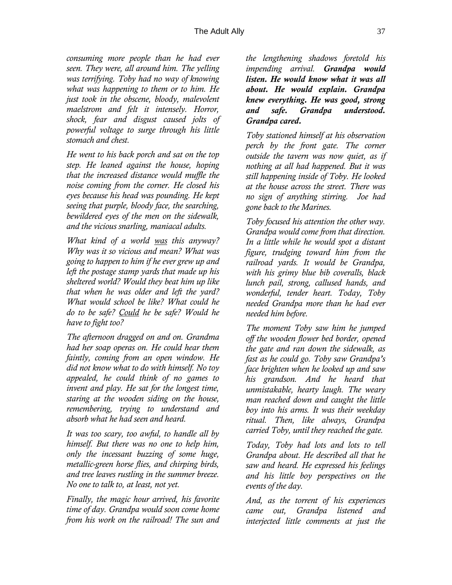*consuming more people than he had ever seen. They were, all around him. The yelling was terrifying. Toby had no way of knowing what was happening to them or to him. He just took in the obscene, bloody, malevolent maelstrom and felt it intensely. Horror, shock, fear and disgust caused jolts of powerful voltage to surge through his little stomach and chest.* 

*He went to his back porch and sat on the top step. He leaned against the house, hoping that the increased distance would muffle the noise coming from the corner. He closed his eyes because his head was pounding. He kept seeing that purple, bloody face, the searching, bewildered eyes of the men on the sidewalk, and the vicious snarling, maniacal adults.* 

*What kind of a world was this anyway? Why was it so vicious and mean? What was going to happen to him if he ever grew up and left the postage stamp yards that made up his sheltered world? Would they beat him up like that when he was older and left the yard? What would school be like? What could he do to be safe? Could he be safe? Would he have to fight too?*

*The afternoon dragged on and on. Grandma had her soap operas on. He could hear them faintly, coming from an open window. He did not know what to do with himself. No toy appealed, he could think of no games to invent and play. He sat for the longest time, staring at the wooden siding on the house, remembering, trying to understand and absorb what he had seen and heard.*

*It was too scary, too awful, to handle all by himself. But there was no one to help him, only the incessant buzzing of some huge, metallic-green horse flies, and chirping birds, and tree leaves rustling in the summer breeze. No one to talk to, at least, not yet.*

*Finally, the magic hour arrived, his favorite time of day. Grandpa would soon come home from his work on the railroad! The sun and*  *the lengthening shadows foretold his impending arrival. Grandpa would listen. He would know what it was all about. He would explain. Grandpa knew everything. He was good, strong and safe. Grandpa understood. Grandpa cared.*

*Toby stationed himself at his observation perch by the front gate. The corner outside the tavern was now quiet, as if nothing at all had happened. But it was still happening inside of Toby. He looked at the house across the street. There was no sign of anything stirring. Joe had gone back to the Marines.* 

*Toby focused his attention the other way. Grandpa would come from that direction. In a little while he would spot a distant figure, trudging toward him from the railroad yards. It would be Grandpa, with his grimy blue bib coveralls, black lunch pail, strong, callused hands, and wonderful, tender heart. Today, Toby needed Grandpa more than he had ever needed him before.*

*The moment Toby saw him he jumped off the wooden flower bed border, opened the gate and ran down the sidewalk, as fast as he could go. Toby saw Grandpa's face brighten when he looked up and saw his grandson. And he heard that unmistakable, hearty laugh. The weary man reached down and caught the little boy into his arms. It was their weekday ritual. Then, like always, Grandpa carried Toby, until they reached the gate.*

*Today, Toby had lots and lots to tell Grandpa about. He described all that he saw and heard. He expressed his feelings and his little boy perspectives on the events of the day.* 

*And, as the torrent of his experiences came out, Grandpa listened and interjected little comments at just the*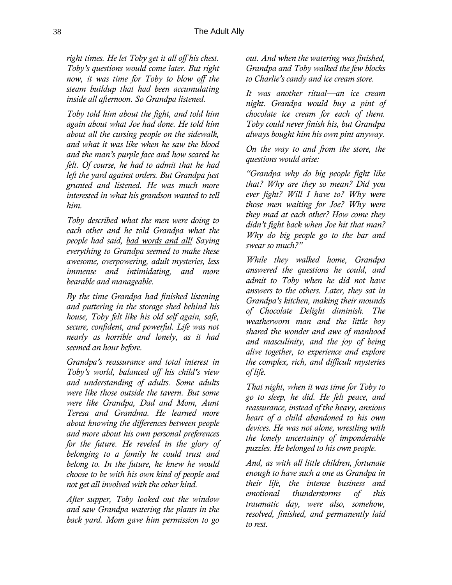*right times. He let Toby get it all off his chest. Toby's questions would come later. But right now, it was time for Toby to blow off the steam buildup that had been accumulating inside all afternoon. So Grandpa listened.*

*Toby told him about the fight, and told him again about what Joe had done. He told him about all the cursing people on the sidewalk, and what it was like when he saw the blood and the man's purple face and how scared he felt. Of course, he had to admit that he had left the yard against orders. But Grandpa just grunted and listened. He was much more interested in what his grandson wanted to tell him.* 

*Toby described what the men were doing to each other and he told Grandpa what the people had said, bad words and all! Saying everything to Grandpa seemed to make these awesome, overpowering, adult mysteries, less immense and intimidating, and more bearable and manageable.*

*By the time Grandpa had finished listening and puttering in the storage shed behind his house, Toby felt like his old self again, safe, secure, confident, and powerful. Life was not nearly as horrible and lonely, as it had seemed an hour before.* 

*Grandpa's reassurance and total interest in Toby's world, balanced off his child's view and understanding of adults. Some adults were like those outside the tavern. But some were like Grandpa, Dad and Mom, Aunt Teresa and Grandma. He learned more about knowing the differences between people and more about his own personal preferences for the future. He reveled in the glory of belonging to a family he could trust and belong to. In the future, he knew he would choose to be with his own kind of people and not get all involved with the other kind.* 

*After supper, Toby looked out the window and saw Grandpa watering the plants in the back yard. Mom gave him permission to go* 

*out. And when the watering was finished, Grandpa and Toby walked the few blocks to Charlie's candy and ice cream store.* 

*It was another ritual—an ice cream night. Grandpa would buy a pint of chocolate ice cream for each of them. Toby could never finish his, but Grandpa always bought him his own pint anyway.*

*On the way to and from the store, the questions would arise:*

*―Grandpa why do big people fight like that? Why are they so mean? Did you ever fight? Will I have to? Why were those men waiting for Joe? Why were they mad at each other? How come they didn't fight back when Joe hit that man? Why do big people go to the bar and swear so much?‖*

*While they walked home, Grandpa answered the questions he could, and admit to Toby when he did not have answers to the others. Later, they sat in Grandpa's kitchen, making their mounds of Chocolate Delight diminish. The weatherworn man and the little boy shared the wonder and awe of manhood and masculinity, and the joy of being alive together, to experience and explore the complex, rich, and difficult mysteries of life.*

*That night, when it was time for Toby to go to sleep, he did. He felt peace, and reassurance, instead of the heavy, anxious heart of a child abandoned to his own devices. He was not alone, wrestling with the lonely uncertainty of imponderable puzzles. He belonged to his own people.* 

*And, as with all little children, fortunate enough to have such a one as Grandpa in their life, the intense business and emotional thunderstorms of this traumatic day, were also, somehow, resolved, finished, and permanently laid to rest.*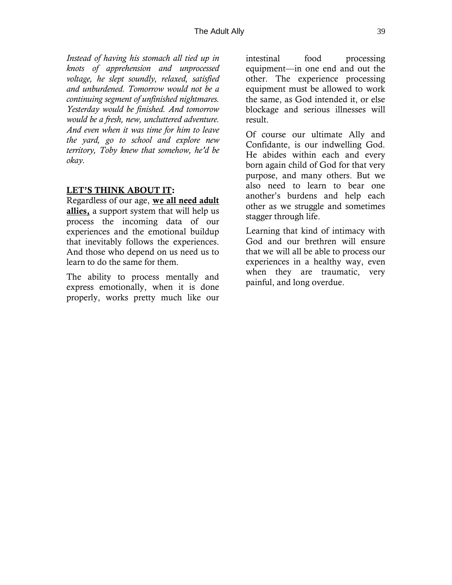*Instead of having his stomach all tied up in knots of apprehension and unprocessed voltage, he slept soundly, relaxed, satisfied and unburdened. Tomorrow would not be a continuing segment of unfinished nightmares. Yesterday would be finished. And tomorrow would be a fresh, new, uncluttered adventure. And even when it was time for him to leave the yard, go to school and explore new territory, Toby knew that somehow, he'd be okay.*

#### **LET"S THINK ABOUT IT:**

Regardless of our age, **we all need adult allies,** a support system that will help us process the incoming data of our experiences and the emotional buildup that inevitably follows the experiences. And those who depend on us need us to learn to do the same for them.

The ability to process mentally and express emotionally, when it is done properly, works pretty much like our intestinal food processing equipment—in one end and out the other. The experience processing equipment must be allowed to work the same, as God intended it, or else blockage and serious illnesses will result.

Of course our ultimate Ally and Confidante, is our indwelling God. He abides within each and every born again child of God for that very purpose, and many others. But we also need to learn to bear one another's burdens and help each other as we struggle and sometimes stagger through life.

Learning that kind of intimacy with God and our brethren will ensure that we will all be able to process our experiences in a healthy way, even when they are traumatic, very painful, and long overdue.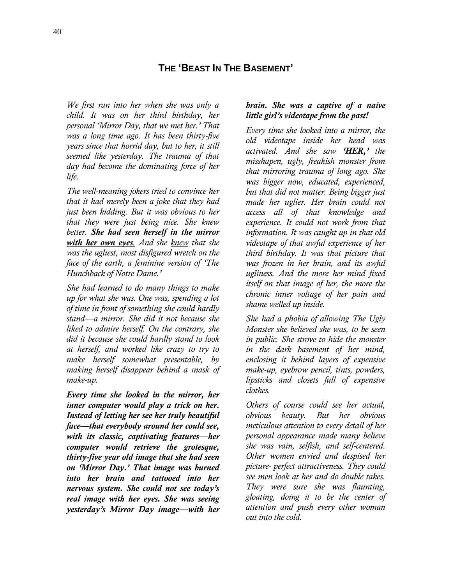## **THE 'BEAST IN THE BASEMENT'**

*We first ran into her when she was only a child. It was on her third birthday, her personal ‗Mirror Day, that we met her.' That was a long time ago. It has been thirty-five years since that horrid day, but to her, it still seemed like yesterday. The trauma of that day had become the dominating force of her life.* 

*The well-meaning jokers tried to convince her that it had merely been a joke that they had just been kidding. But it was obvious to her that they were just being nice. She knew better. She had seen herself in the mirror with her own eyes. And she knew that she was the ugliest, most disfigured wretch on the face of the earth, a feminine version of ‗The Hunchback of Notre Dame.'*

*She had learned to do many things to make up for what she was. One was, spending a lot of time in front of something she could hardly stand—a mirror. She did it not because she liked to admire herself. On the contrary, she did it because she could hardly stand to look at herself, and worked like crazy to try to make herself somewhat presentable, by making herself disappear behind a mask of make-up.* 

*Every time she looked in the mirror, her inner computer would play a trick on her. Instead of letting her see her truly beautiful face—that everybody around her could see, with its classic, captivating features—her computer would retrieve the grotesque, thirty-five year old image that she had seen on "Mirror Day." That image was burned into her brain and tattooed into her nervous system. She could not see today"s real image with her eyes. She was seeing yesterday"s Mirror Day image—with her* 

#### *brain. She was a captive of a naive little girl"s videotape from the past!*

*Every time she looked into a mirror, the old videotape inside her head was activated. And she saw "HER," the misshapen, ugly, freakish monster from that mirroring trauma of long ago. She was bigger now, educated, experienced, but that did not matter. Being bigger just made her uglier. Her brain could not access all of that knowledge and experience. It could not work from that information. It was caught up in that old videotape of that awful experience of her third birthday. It was that picture that was frozen in her brain, and its awful ugliness. And the more her mind fixed itself on that image of her, the more the chronic inner voltage of her pain and shame welled up inside.*

*She had a phobia of allowing The Ugly Monster she believed she was, to be seen in public. She strove to hide the monster in the dark basement of her mind, enclosing it behind layers of expensive make-up, eyebrow pencil, tints, powders, lipsticks and closets full of expensive clothes.* 

*Others of course could see her actual, obvious beauty. But her obvious meticulous attention to every detail of her personal appearance made many believe she was vain, selfish, and self-centered. Other women envied and despised her picture- perfect attractiveness. They could see men look at her and do double takes. They were sure she was flaunting, gloating, doing it to be the center of attention and push every other woman out into the cold.*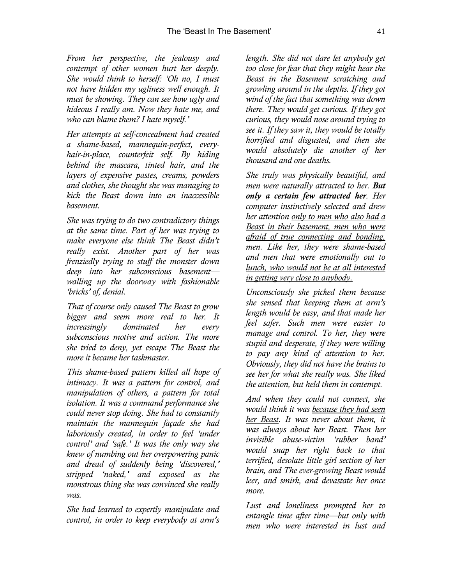*From her perspective, the jealousy and contempt of other women hurt her deeply. She would think to herself: ‗Oh no, I must not have hidden my ugliness well enough. It must be showing. They can see how ugly and hideous I really am. Now they hate me, and who can blame them? I hate myself.'*

*Her attempts at self-concealment had created a shame-based, mannequin-perfect, everyhair-in-place, counterfeit self. By hiding behind the mascara, tinted hair, and the layers of expensive pastes, creams, powders and clothes, she thought she was managing to kick the Beast down into an inaccessible basement.*

*She was trying to do two contradictory things at the same time. Part of her was trying to make everyone else think The Beast didn't really exist. Another part of her was frenziedly trying to stuff the monster down deep into her subconscious basement walling up the doorway with fashionable ‗bricks' of, denial.* 

*That of course only caused The Beast to grow bigger and seem more real to her. It increasingly dominated her every subconscious motive and action. The more she tried to deny, yet escape The Beast the more it became her taskmaster.* 

*This shame-based pattern killed all hope of intimacy. It was a pattern for control, and manipulation of others, a pattern for total isolation. It was a command performance she could never stop doing. She had to constantly maintain the mannequin façade she had laboriously created, in order to feel ‗under control' and ‗safe.' It was the only way she knew of numbing out her overpowering panic and dread of suddenly being ‗discovered,' stripped ‗naked,' and exposed as the monstrous thing she was convinced she really was.* 

*She had learned to expertly manipulate and control, in order to keep everybody at arm's* 

*length. She did not dare let anybody get too close for fear that they might hear the Beast in the Basement scratching and growling around in the depths. If they got wind of the fact that something was down there. They would get curious. If they got curious, they would nose around trying to see it. If they saw it, they would be totally horrified and disgusted, and then she would absolutely die another of her thousand and one deaths.*

*She truly was physically beautiful, and men were naturally attracted to her. But only a certain few attracted her. Her computer instinctively selected and drew her attention only to men who also had a Beast in their basement, men who were afraid of true connecting and bonding, men. Like her, they were shame-based and men that were emotionally out to lunch, who would not be at all interested in getting very close to anybody.* 

*Unconsciously she picked them because she sensed that keeping them at arm's length would be easy, and that made her feel safer. Such men were easier to manage and control. To her, they were stupid and desperate, if they were willing to pay any kind of attention to her. Obviously, they did not have the brains to see her for what she really was. She liked the attention, but held them in contempt.* 

*And when they could not connect, she would think it was because they had seen her Beast. It was never about them, it was always about her Beast. Then her invisible abuse-victim ‗rubber band' would snap her right back to that terrified, desolate little girl section of her brain, and The ever-growing Beast would leer, and smirk, and devastate her once more.* 

*Lust and loneliness prompted her to entangle time after time—but only with men who were interested in lust and*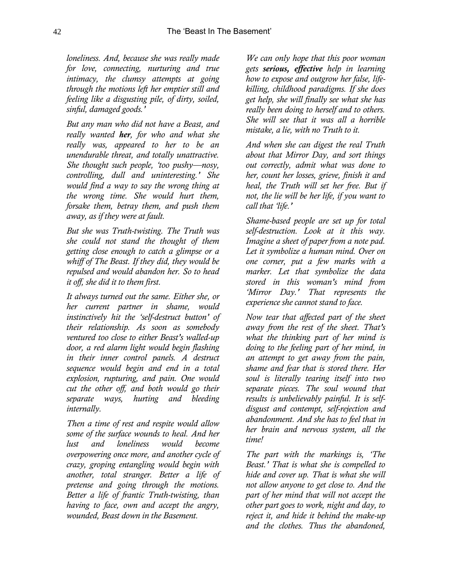*loneliness. And, because she was really made for love, connecting, nurturing and true intimacy, the clumsy attempts at going through the motions left her emptier still and feeling like a disgusting pile, of dirty, soiled, sinful, damaged goods.'* 

*But any man who did not have a Beast, and really wanted her, for who and what she really was, appeared to her to be an unendurable threat, and totally unattractive. She thought such people, ‗too pushy—nosy, controlling, dull and uninteresting.' She would find a way to say the wrong thing at the wrong time. She would hurt them, forsake them, betray them, and push them away, as if they were at fault.*

*But she was Truth-twisting. The Truth was she could not stand the thought of them getting close enough to catch a glimpse or a whiff of The Beast. If they did, they would be repulsed and would abandon her. So to head it off, she did it to them first.*

*It always turned out the same. Either she, or her current partner in shame, would instinctively hit the ‗self-destruct button' of their relationship. As soon as somebody ventured too close to either Beast's walled-up door, a red alarm light would begin flashing in their inner control panels. A destruct sequence would begin and end in a total explosion, rupturing, and pain. One would cut the other off, and both would go their separate ways, hurting and bleeding internally.*

*Then a time of rest and respite would allow some of the surface wounds to heal. And her lust and loneliness would become overpowering once more, and another cycle of crazy, groping entangling would begin with another, total stranger. Better a life of pretense and going through the motions. Better a life of frantic Truth-twisting, than having to face, own and accept the angry, wounded, Beast down in the Basement.*

*We can only hope that this poor woman gets serious, effective help in learning how to expose and outgrow her false, lifekilling, childhood paradigms. If she does get help, she will finally see what she has really been doing to herself and to others. She will see that it was all a horrible mistake, a lie, with no Truth to it.* 

*And when she can digest the real Truth about that Mirror Day, and sort things out correctly, admit what was done to her, count her losses, grieve, finish it and heal, the Truth will set her free. But if not, the lie will be her life, if you want to call that ‗life.'* 

*Shame-based people are set up for total self-destruction. Look at it this way. Imagine a sheet of paper from a note pad. Let it symbolize a human mind. Over on one corner, put a few marks with a marker. Let that symbolize the data stored in this woman's mind from ‗Mirror Day.' That represents the experience she cannot stand to face.*

*Now tear that affected part of the sheet away from the rest of the sheet. That's what the thinking part of her mind is doing to the feeling part of her mind, in an attempt to get away from the pain, shame and fear that is stored there. Her soul is literally tearing itself into two separate pieces. The soul wound that results is unbelievably painful. It is selfdisgust and contempt, self-rejection and abandonment. And she has to feel that in her brain and nervous system, all the time!* 

*The part with the markings is, ‗The Beast.' That is what she is compelled to hide and cover up. That is what she will not allow anyone to get close to. And the part of her mind that will not accept the other part goes to work, night and day, to reject it, and hide it behind the make-up and the clothes. Thus the abandoned,*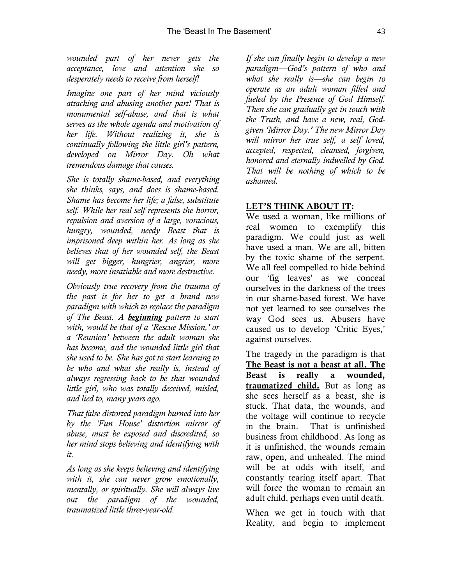*wounded part of her never gets the acceptance, love and attention she so desperately needs to receive from herself!* 

*Imagine one part of her mind viciously attacking and abusing another part! That is monumental self-abuse, and that is what serves as the whole agenda and motivation of her life. Without realizing it, she is continually following the little girl's pattern, developed on Mirror Day. Oh what tremendous damage that causes.* 

*She is totally shame-based, and everything she thinks, says, and does is shame-based. Shame has become her life; a false, substitute self. While her real self represents the horror, repulsion and aversion of a large, voracious, hungry, wounded, needy Beast that is imprisoned deep within her. As long as she believes that of her wounded self, the Beast will get bigger, hungrier, angrier, more needy, more insatiable and more destructive.*

*Obviously true recovery from the trauma of the past is for her to get a brand new paradigm with which to replace the paradigm of The Beast. A beginning pattern to start with, would be that of a ‗Rescue Mission,' or a ‗Reunion' between the adult woman she has become, and the wounded little girl that she used to be. She has got to start learning to be who and what she really is, instead of always regressing back to be that wounded little girl, who was totally deceived, misled, and lied to, many years ago.* 

*That false distorted paradigm burned into her by the ‗Fun House' distortion mirror of abuse, must be exposed and discredited, so her mind stops believing and identifying with it.* 

*As long as she keeps believing and identifying with it, she can never grow emotionally, mentally, or spiritually. She will always live out the paradigm of the wounded, traumatized little three-year-old.* 

*If she can finally begin to develop a new paradigm—God's pattern of who and what she really is—she can begin to operate as an adult woman filled and fueled by the Presence of God Himself. Then she can gradually get in touch with the Truth, and have a new, real, Godgiven ‗Mirror Day.' The new Mirror Day will mirror her true self, a self loved, accepted, respected, cleansed, forgiven, honored and eternally indwelled by God. That will be nothing of which to be ashamed.* 

#### **LET"S THINK ABOUT IT:**

We used a woman, like millions of real women to exemplify this paradigm. We could just as well have used a man. We are all, bitten by the toxic shame of the serpent. We all feel compelled to hide behind our 'fig leaves' as we conceal ourselves in the darkness of the trees in our shame-based forest. We have not yet learned to see ourselves the way God sees us. Abusers have caused us to develop 'Critic Eyes,' against ourselves.

The tragedy in the paradigm is that **The Beast is not a beast at all. The Beast is really a wounded, traumatized child.** But as long as she sees herself as a beast, she is stuck. That data, the wounds, and the voltage will continue to recycle in the brain. That is unfinished business from childhood. As long as it is unfinished, the wounds remain raw, open, and unhealed. The mind will be at odds with itself, and constantly tearing itself apart. That will force the woman to remain an adult child, perhaps even until death.

When we get in touch with that Reality, and begin to implement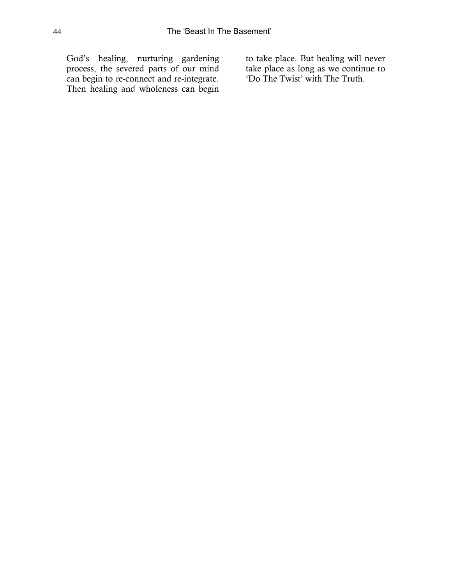God's healing, nurturing gardening process, the severed parts of our mind can begin to re-connect and re-integrate. Then healing and wholeness can begin

to take place. But healing will never take place as long as we continue to ‗Do The Twist' with The Truth.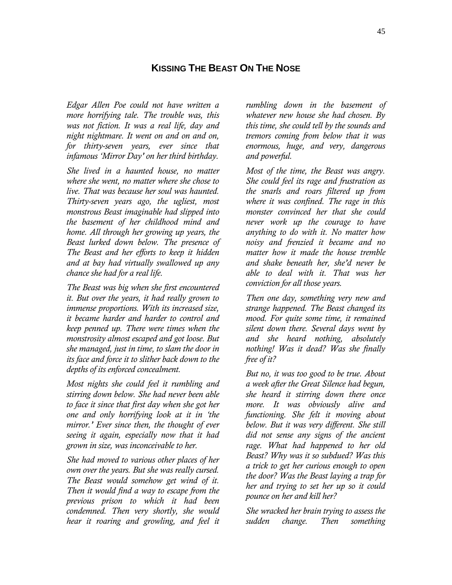#### **KISSING THE BEAST ON THE NOSE**

*Edgar Allen Poe could not have written a more horrifying tale. The trouble was, this was not fiction. It was a real life, day and night nightmare. It went on and on and on, for thirty-seven years, ever since that infamous ‗Mirror Day' on her third birthday.*

*She lived in a haunted house, no matter where she went, no matter where she chose to live. That was because her soul was haunted. Thirty-seven years ago, the ugliest, most monstrous Beast imaginable had slipped into the basement of her childhood mind and home. All through her growing up years, the Beast lurked down below. The presence of The Beast and her efforts to keep it hidden and at bay had virtually swallowed up any chance she had for a real life.*

*The Beast was big when she first encountered it. But over the years, it had really grown to immense proportions. With its increased size, it became harder and harder to control and keep penned up. There were times when the monstrosity almost escaped and got loose. But she managed, just in time, to slam the door in its face and force it to slither back down to the depths of its enforced concealment.*

*Most nights she could feel it rumbling and stirring down below. She had never been able to face it since that first day when she got her one and only horrifying look at it in ‗the mirror.' Ever since then, the thought of ever seeing it again, especially now that it had grown in size, was inconceivable to her.* 

*She had moved to various other places of her own over the years. But she was really cursed. The Beast would somehow get wind of it. Then it would find a way to escape from the previous prison to which it had been condemned. Then very shortly, she would hear it roaring and growling, and feel it* 

*rumbling down in the basement of whatever new house she had chosen. By this time, she could tell by the sounds and tremors coming from below that it was enormous, huge, and very, dangerous and powerful.*

*Most of the time, the Beast was angry. She could feel its rage and frustration as the snarls and roars filtered up from where it was confined. The rage in this monster convinced her that she could never work up the courage to have anything to do with it. No matter how noisy and frenzied it became and no matter how it made the house tremble and shake beneath her, she'd never be able to deal with it. That was her conviction for all those years.*

*Then one day, something very new and strange happened. The Beast changed its mood. For quite some time, it remained silent down there. Several days went by and she heard nothing, absolutely nothing! Was it dead? Was she finally free of it?*

*But no, it was too good to be true. About a week after the Great Silence had begun, she heard it stirring down there once more. It was obviously alive and functioning. She felt it moving about below. But it was very different. She still did not sense any signs of the ancient rage. What had happened to her old Beast? Why was it so subdued? Was this a trick to get her curious enough to open the door? Was the Beast laying a trap for her and trying to set her up so it could pounce on her and kill her?*

*She wracked her brain trying to assess the sudden change. Then something*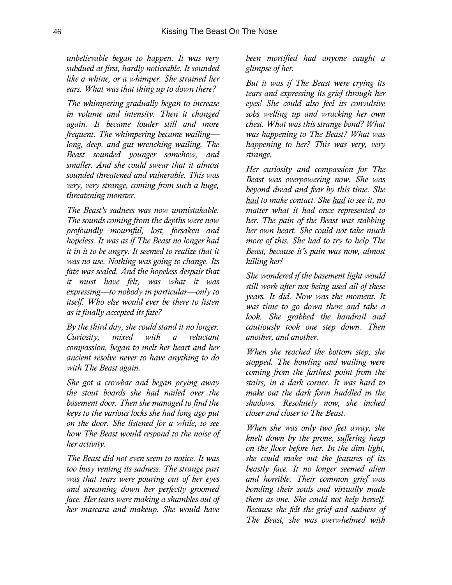*unbelievable began to happen. It was very subdued at first, hardly noticeable. It sounded like a whine, or a whimper. She strained her ears. What was that thing up to down there?*

*The whimpering gradually began to increase in volume and intensity. Then it changed again. It became louder still and more frequent. The whimpering became wailing long, deep, and gut wrenching wailing. The Beast sounded younger somehow, and smaller. And she could swear that it almost sounded threatened and vulnerable. This was very, very strange, coming from such a huge, threatening monster.*

*The Beast's sadness was now unmistakable. The sounds coming from the depths were now profoundly mournful, lost, forsaken and hopeless. It was as if The Beast no longer had it in it to be angry. It seemed to realize that it was no use. Nothing was going to change. Its fate was sealed. And the hopeless despair that it must have felt, was what it was expressing—to nobody in particular—only to itself. Who else would ever be there to listen as it finally accepted its fate?* 

*By the third day, she could stand it no longer. Curiosity, mixed with a reluctant compassion, began to melt her heart and her ancient resolve never to have anything to do with The Beast again.*

*She got a crowbar and began prying away the stout boards she had nailed over the basement door. Then she managed to find the keys to the various locks she had long ago put on the door. She listened for a while, to see how The Beast would respond to the noise of her activity.*

*The Beast did not even seem to notice. It was too busy venting its sadness. The strange part was that tears were pouring out of her eyes and streaming down her perfectly groomed face. Her tears were making a shambles out of her mascara and makeup. She would have* 

*been mortified had anyone caught a glimpse of her.*

*But it was if The Beast were crying its tears and expressing its grief through her eyes! She could also feel its convulsive sobs welling up and wracking her own chest. What was this strange bond? What was happening to The Beast? What was happening to her? This was very, very strange.*

*Her curiosity and compassion for The Beast was overpowering now. She was beyond dread and fear by this time. She had to make contact. She had to see it, no matter what it had once represented to her. The pain of the Beast was stabbing her own heart. She could not take much more of this. She had to try to help The Beast, because it's pain was now, almost killing her!*

*She wondered if the basement light would still work after not being used all of these years. It did. Now was the moment. It was time to go down there and take a look. She grabbed the handrail and cautiously took one step down. Then another, and another.*

*When she reached the bottom step, she stopped. The howling and wailing were coming from the farthest point from the stairs, in a dark corner. It was hard to make out the dark form huddled in the shadows. Resolutely now, she inched closer and closer to The Beast.*

*When she was only two feet away, she knelt down by the prone, suffering heap on the floor before her. In the dim light, she could make out the features of its beastly face. It no longer seemed alien and horrible. Their common grief was bonding their souls and virtually made them as one. She could not help herself. Because she felt the grief and sadness of The Beast, she was overwhelmed with*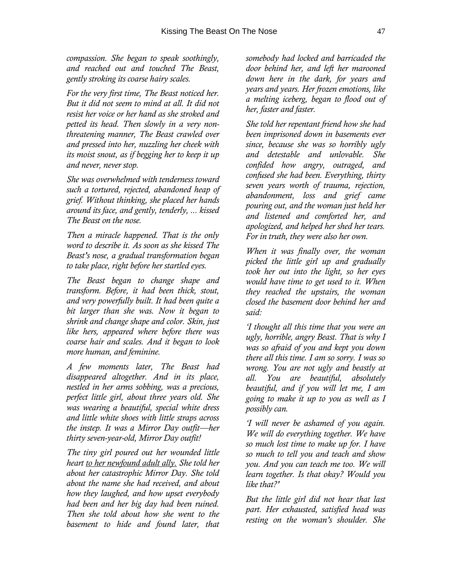*compassion. She began to speak soothingly, and reached out and touched The Beast, gently stroking its coarse hairy scales.* 

*For the very first time, The Beast noticed her. But it did not seem to mind at all. It did not resist her voice or her hand as she stroked and petted its head. Then slowly in a very nonthreatening manner, The Beast crawled over and pressed into her, nuzzling her cheek with its moist snout, as if begging her to keep it up and never, never stop.*

*She was overwhelmed with tenderness toward such a tortured, rejected, abandoned heap of grief. Without thinking, she placed her hands around its face, and gently, tenderly, ... kissed The Beast on the nose.*

*Then a miracle happened. That is the only word to describe it. As soon as she kissed The Beast's nose, a gradual transformation began to take place, right before her startled eyes.*

*The Beast began to change shape and transform. Before, it had been thick, stout, and very powerfully built. It had been quite a bit larger than she was. Now it began to shrink and change shape and color. Skin, just like hers, appeared where before there was coarse hair and scales. And it began to look more human, and feminine.*

*A few moments later, The Beast had disappeared altogether. And in its place, nestled in her arms sobbing, was a precious, perfect little girl, about three years old. She was wearing a beautiful, special white dress and little white shoes with little straps across the instep. It was a Mirror Day outfit—her thirty seven-year-old, Mirror Day outfit!*

*The tiny girl poured out her wounded little heart to her newfound adult ally. She told her about her catastrophic Mirror Day. She told about the name she had received, and about how they laughed, and how upset everybody had been and her big day had been ruined. Then she told about how she went to the basement to hide and found later, that* 

*somebody had locked and barricaded the door behind her, and left her marooned down here in the dark, for years and years and years. Her frozen emotions, like a melting iceberg, began to flood out of her, faster and faster.*

*She told her repentant friend how she had been imprisoned down in basements ever since, because she was so horribly ugly and detestable and unlovable. She confided how angry, outraged, and confused she had been. Everything, thirty seven years worth of trauma, rejection, abandonment, loss and grief came pouring out, and the woman just held her and listened and comforted her, and apologized, and helped her shed her tears. For in truth, they were also her own.*

*When it was finally over, the woman picked the little girl up and gradually took her out into the light, so her eyes would have time to get used to it. When they reached the upstairs, the woman closed the basement door behind her and said:*

*‗I thought all this time that you were an ugly, horrible, angry Beast. That is why I was so afraid of you and kept you down there all this time. I am so sorry. I was so wrong. You are not ugly and beastly at all. You are beautiful, absolutely beautiful, and if you will let me, I am going to make it up to you as well as I possibly can.* 

*‗I will never be ashamed of you again. We will do everything together. We have so much lost time to make up for. I have so much to tell you and teach and show you. And you can teach me too. We will learn together. Is that okay? Would you like that?'*

*But the little girl did not hear that last part. Her exhausted, satisfied head was resting on the woman's shoulder. She*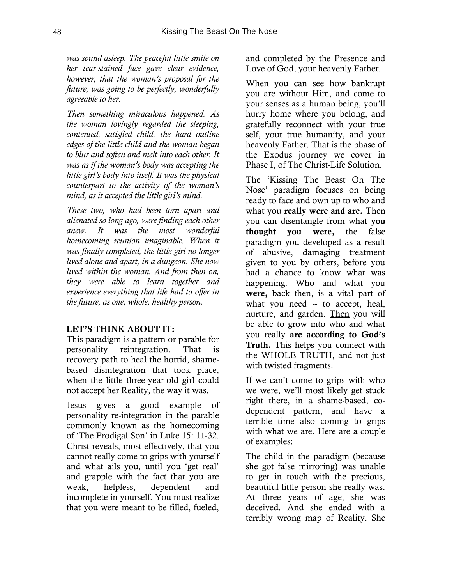*was sound asleep. The peaceful little smile on her tear-stained face gave clear evidence, however, that the woman's proposal for the future, was going to be perfectly, wonderfully agreeable to her.*

*Then something miraculous happened. As the woman lovingly regarded the sleeping, contented, satisfied child, the hard outline edges of the little child and the woman began to blur and soften and melt into each other. It was as if the woman's body was accepting the little girl's body into itself. It was the physical counterpart to the activity of the woman's mind, as it accepted the little girl's mind.*

*These two, who had been torn apart and alienated so long ago, were finding each other anew. It was the most wonderful homecoming reunion imaginable. When it was finally completed, the little girl no longer lived alone and apart, in a dungeon. She now lived within the woman. And from then on, they were able to learn together and experience everything that life had to offer in the future, as one, whole, healthy person.*

#### **LET"S THINK ABOUT IT:**

This paradigm is a pattern or parable for personality reintegration. That is recovery path to heal the horrid, shamebased disintegration that took place, when the little three-year-old girl could not accept her Reality, the way it was.

Jesus gives a good example of personality re-integration in the parable commonly known as the homecoming of ‗The Prodigal Son' in Luke 15: 11-32. Christ reveals, most effectively, that you cannot really come to grips with yourself and what ails you, until you 'get real' and grapple with the fact that you are weak, helpless, dependent and incomplete in yourself. You must realize that you were meant to be filled, fueled,

and completed by the Presence and Love of God, your heavenly Father.

When you can see how bankrupt you are without Him, and come to your senses as a human being, you'll hurry home where you belong, and gratefully reconnect with your true self, your true humanity, and your heavenly Father. That is the phase of the Exodus journey we cover in Phase I, of The Christ-Life Solution.

The 'Kissing The Beast On The Nose' paradigm focuses on being ready to face and own up to who and what you **really were and are.** Then you can disentangle from what **you thought you were,** the false paradigm you developed as a result of abusive, damaging treatment given to you by others, before you had a chance to know what was happening. Who and what you **were,** back then, is a vital part of what you need -- to accept, heal, nurture, and garden. Then you will be able to grow into who and what you really **are according to God"s Truth.** This helps you connect with the WHOLE TRUTH, and not just with twisted fragments.

If we can't come to grips with who we were, we'll most likely get stuck right there, in a shame-based, codependent pattern, and have a terrible time also coming to grips with what we are. Here are a couple of examples:

The child in the paradigm (because she got false mirroring) was unable to get in touch with the precious, beautiful little person she really was. At three years of age, she was deceived. And she ended with a terribly wrong map of Reality. She